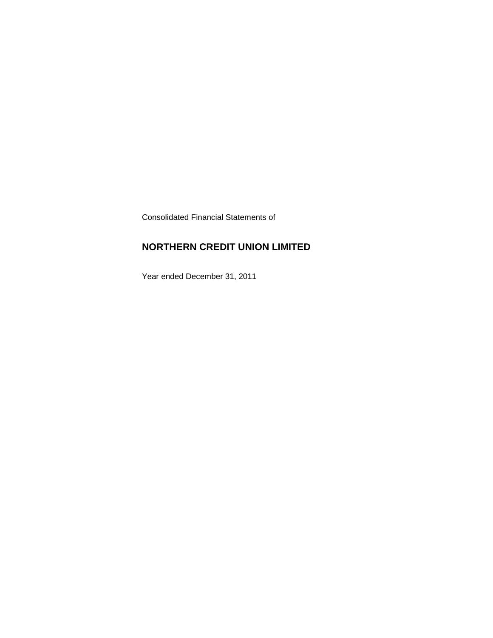Consolidated Financial Statements of

### **NORTHERN CREDIT UNION LIMITED**

Year ended December 31, 2011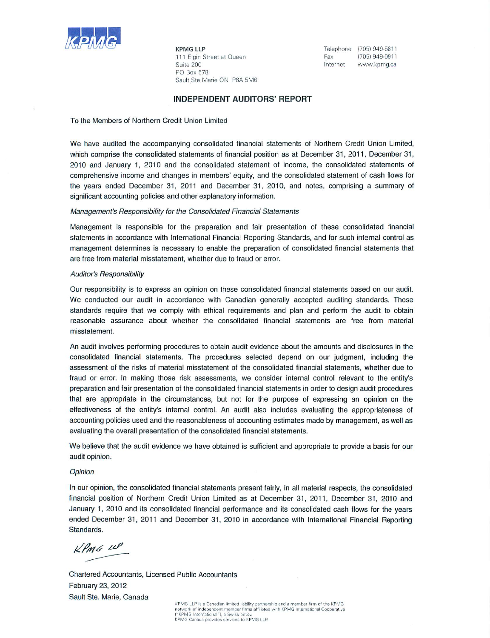

**KPMG LLP** 111 Elgin Street at Queen Suite 200 **PO Box 578** Sault Ste Marie ON P6A 5M6

Telephone (705) 949-5811 Fax (705) 949-0911 Internet www.kpmg.ca

#### **INDEPENDENT AUDITORS' REPORT**

To the Members of Northern Credit Union Limited

We have audited the accompanying consolidated financial statements of Northern Credit Union Limited, which comprise the consolidated statements of financial position as at December 31, 2011, December 31, 2010 and January 1, 2010 and the consolidated statement of income, the consolidated statements of comprehensive income and changes in members' equity, and the consolidated statement of cash flows for the years ended December 31, 2011 and December 31, 2010, and notes, comprising a summary of significant accounting policies and other explanatory information.

#### Management's Responsibility for the Consolidated Financial Statements

Management is responsible for the preparation and fair presentation of these consolidated financial statements in accordance with International Financial Reporting Standards, and for such internal control as management determines is necessary to enable the preparation of consolidated financial statements that are free from material misstatement, whether due to fraud or error.

#### **Auditor's Responsibility**

Our responsibility is to express an opinion on these consolidated financial statements based on our audit. We conducted our audit in accordance with Canadian generally accepted auditing standards. Those standards require that we comply with ethical requirements and plan and perform the audit to obtain reasonable assurance about whether the consolidated financial statements are free from material misstatement.

An audit involves performing procedures to obtain audit evidence about the amounts and disclosures in the consolidated financial statements. The procedures selected depend on our judgment, including the assessment of the risks of material misstatement of the consolidated financial statements, whether due to fraud or error. In making those risk assessments, we consider internal control relevant to the entity's preparation and fair presentation of the consolidated financial statements in order to design audit procedures that are appropriate in the circumstances, but not for the purpose of expressing an opinion on the effectiveness of the entity's internal control. An audit also includes evaluating the appropriateness of accounting policies used and the reasonableness of accounting estimates made by management, as well as evaluating the overall presentation of the consolidated financial statements.

We believe that the audit evidence we have obtained is sufficient and appropriate to provide a basis for our audit opinion.

#### Opinion

In our opinion, the consolidated financial statements present fairly, in all material respects, the consolidated financial position of Northern Credit Union Limited as at December 31, 2011, December 31, 2010 and January 1, 2010 and its consolidated financial performance and its consolidated cash flows for the years ended December 31, 2011 and December 31, 2010 in accordance with International Financial Reporting Standards.

 $kPm6$  11P

Chartered Accountants, Licensed Public Accountants February 23, 2012 Sault Ste. Marie, Canada

KPMG LLP is a Canadian limited liability partnership and a member firm of the KPMG network of independent member firms affiliated with KPMG International Cooperative ("KPMG International"), a Swiss entity.<br>("KPMG International"), a Swiss entity.<br>KPMG Canada provides services to KPMG LLP.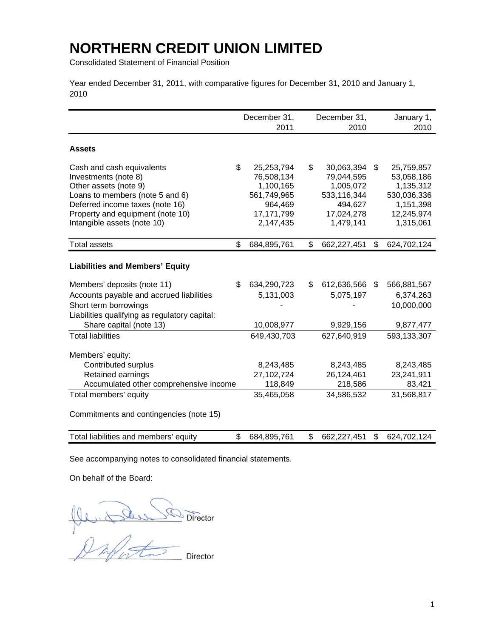Consolidated Statement of Financial Position

Year ended December 31, 2011, with comparative figures for December 31, 2010 and January 1, 2010

|                                                                                                                                                                                                                           | December 31,<br>2011 |                                                                                            |    | December 31,<br>2010                                                                       |     | January 1,<br>2010                                                                           |
|---------------------------------------------------------------------------------------------------------------------------------------------------------------------------------------------------------------------------|----------------------|--------------------------------------------------------------------------------------------|----|--------------------------------------------------------------------------------------------|-----|----------------------------------------------------------------------------------------------|
| <b>Assets</b>                                                                                                                                                                                                             |                      |                                                                                            |    |                                                                                            |     |                                                                                              |
| \$<br>Cash and cash equivalents<br>Investments (note 8)<br>Other assets (note 9)<br>Loans to members (note 5 and 6)<br>Deferred income taxes (note 16)<br>Property and equipment (note 10)<br>Intangible assets (note 10) |                      | 25,253,794<br>76,508,134<br>1,100,165<br>561,749,965<br>964,469<br>17,171,799<br>2,147,435 | \$ | 30,063,394<br>79,044,595<br>1,005,072<br>533,116,344<br>494,627<br>17,024,278<br>1,479,141 | \$. | 25,759,857<br>53,058,186<br>1,135,312<br>530,036,336<br>1,151,398<br>12,245,974<br>1,315,061 |
| \$<br><b>Total assets</b>                                                                                                                                                                                                 |                      | 684,895,761                                                                                | \$ | 662,227,451                                                                                | \$  | 624,702,124                                                                                  |
| <b>Liabilities and Members' Equity</b>                                                                                                                                                                                    |                      |                                                                                            |    |                                                                                            |     |                                                                                              |
| Members' deposits (note 11)<br>\$<br>Accounts payable and accrued liabilities<br>Short term borrowings<br>Liabilities qualifying as regulatory capital:<br>Share capital (note 13)                                        |                      | 634,290,723<br>5,131,003<br>10,008,977                                                     | \$ | 612,636,566<br>5,075,197<br>9,929,156                                                      | \$  | 566,881,567<br>6,374,263<br>10,000,000<br>9,877,477                                          |
| <b>Total liabilities</b>                                                                                                                                                                                                  |                      | 649,430,703                                                                                |    | 627,640,919                                                                                |     | 593,133,307                                                                                  |
| Members' equity:<br>Contributed surplus<br>Retained earnings<br>Accumulated other comprehensive income                                                                                                                    |                      | 8,243,485<br>27,102,724<br>118,849                                                         |    | 8,243,485<br>26,124,461<br>218,586                                                         |     | 8,243,485<br>23,241,911<br>83,421                                                            |
| Total members' equity                                                                                                                                                                                                     |                      | 35,465,058                                                                                 |    | 34,586,532                                                                                 |     | 31,568,817                                                                                   |
| Commitments and contingencies (note 15)                                                                                                                                                                                   |                      |                                                                                            |    |                                                                                            |     |                                                                                              |
| \$<br>Total liabilities and members' equity                                                                                                                                                                               |                      | 684,895,761                                                                                | \$ | 662,227,451                                                                                | \$  | 624,702,124                                                                                  |

See accompanying notes to consolidated financial statements.

On behalf of the Board:

 $\underbrace{\bigcup_{\text{Q}}\underbrace{\bigcup_{\text{Q}}\bigcup_{\text{Q}}\bigcup_{\text{Q}}\bigcup_{\text{D}}\underbrace{\bigcup_{\text{D}}\text{C}}}_{\text{D}}\underbrace{\bigcap_{\text{D}}\text{C}}$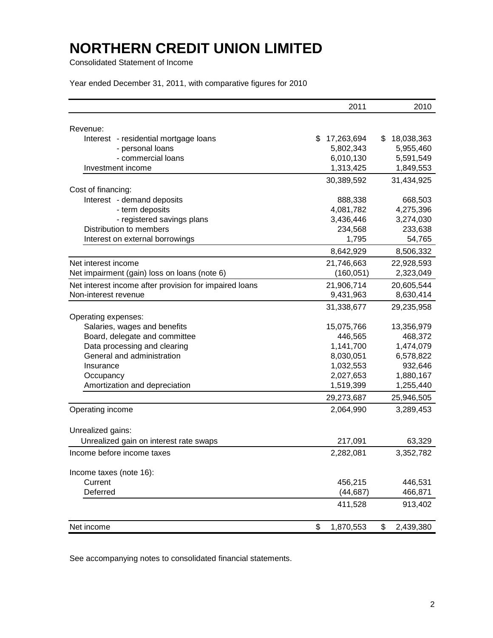Consolidated Statement of Income

Year ended December 31, 2011, with comparative figures for 2010

|                                                        | 2011             | 2010             |
|--------------------------------------------------------|------------------|------------------|
| Revenue:                                               |                  |                  |
| Interest - residential mortgage loans                  | 17,263,694<br>\$ | 18,038,363<br>\$ |
| - personal loans                                       | 5,802,343        | 5,955,460        |
| - commercial loans                                     | 6,010,130        | 5,591,549        |
| Investment income                                      | 1,313,425        | 1,849,553        |
|                                                        | 30,389,592       | 31,434,925       |
| Cost of financing:                                     |                  |                  |
| Interest - demand deposits                             | 888,338          | 668,503          |
| - term deposits                                        | 4,081,782        | 4,275,396        |
| - registered savings plans                             | 3,436,446        | 3,274,030        |
| Distribution to members                                | 234,568          | 233,638          |
| Interest on external borrowings                        | 1,795            | 54,765           |
|                                                        | 8,642,929        | 8,506,332        |
| Net interest income                                    | 21,746,663       | 22,928,593       |
| Net impairment (gain) loss on loans (note 6)           | (160, 051)       | 2,323,049        |
| Net interest income after provision for impaired loans | 21,906,714       | 20,605,544       |
| Non-interest revenue                                   | 9,431,963        | 8,630,414        |
|                                                        | 31,338,677       | 29,235,958       |
| Operating expenses:                                    |                  |                  |
| Salaries, wages and benefits                           | 15,075,766       | 13,356,979       |
| Board, delegate and committee                          | 446,565          | 468,372          |
| Data processing and clearing                           | 1,141,700        | 1,474,079        |
| General and administration                             | 8,030,051        | 6,578,822        |
| Insurance                                              | 1,032,553        | 932,646          |
| Occupancy                                              | 2,027,653        | 1,880,167        |
| Amortization and depreciation                          | 1,519,399        | 1,255,440        |
|                                                        | 29,273,687       | 25,946,505       |
| Operating income                                       | 2,064,990        | 3,289,453        |
|                                                        |                  |                  |
| Unrealized gains:                                      |                  |                  |
| Unrealized gain on interest rate swaps                 | 217,091          | 63,329           |
| Income before income taxes                             | 2,282,081        | 3,352,782        |
| Income taxes (note 16):                                |                  |                  |
| Current                                                | 456,215          | 446,531          |
| Deferred                                               | (44, 687)        | 466,871          |
|                                                        |                  |                  |
|                                                        | 411,528          | 913,402          |
| Net income                                             | \$<br>1,870,553  | \$<br>2,439,380  |

See accompanying notes to consolidated financial statements.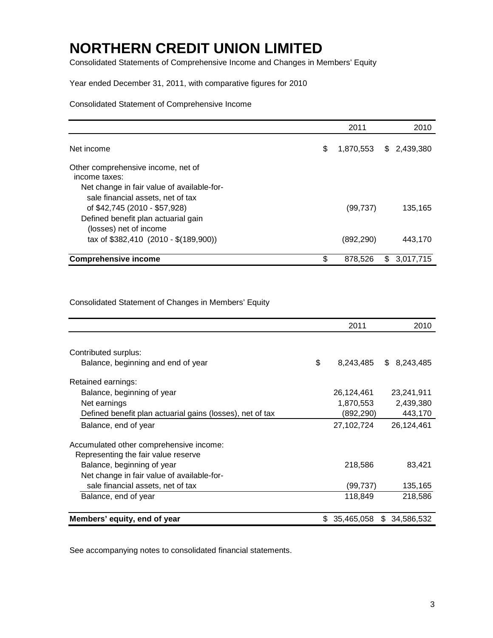Consolidated Statements of Comprehensive Income and Changes in Members' Equity

#### Year ended December 31, 2011, with comparative figures for 2010

### Consolidated Statement of Comprehensive Income

|                                                                                                                                        | 2011            |     | 2010      |
|----------------------------------------------------------------------------------------------------------------------------------------|-----------------|-----|-----------|
| Net income                                                                                                                             | \$<br>1,870,553 | \$  | 2,439,380 |
| Other comprehensive income, net of<br>income taxes:<br>Net change in fair value of available-for-<br>sale financial assets, net of tax |                 |     |           |
| of \$42,745 (2010 - \$57,928)<br>Defined benefit plan actuarial gain<br>(losses) net of income                                         | (99, 737)       |     | 135,165   |
| tax of \$382,410 (2010 - \$(189,900))                                                                                                  | (892, 290)      |     | 443.170   |
| <b>Comprehensive income</b>                                                                                                            | \$<br>878,526   | \$. | 3.017.715 |

Consolidated Statement of Changes in Members' Equity

|                                                           |     | 2011       | 2010             |
|-----------------------------------------------------------|-----|------------|------------------|
|                                                           |     |            |                  |
| Contributed surplus:                                      |     |            |                  |
| Balance, beginning and end of year                        | \$  | 8,243,485  | 8,243,485<br>S.  |
| Retained earnings:                                        |     |            |                  |
| Balance, beginning of year                                |     | 26,124,461 | 23,241,911       |
| Net earnings                                              |     | 1,870,553  | 2,439,380        |
| Defined benefit plan actuarial gains (losses), net of tax |     | (892,290)  | 443,170          |
| Balance, end of year                                      |     | 27,102,724 | 26,124,461       |
| Accumulated other comprehensive income:                   |     |            |                  |
| Representing the fair value reserve                       |     |            |                  |
| Balance, beginning of year                                |     | 218,586    | 83,421           |
| Net change in fair value of available-for-                |     |            |                  |
| sale financial assets, net of tax                         |     | (99, 737)  | 135,165          |
| Balance, end of year                                      |     | 118,849    | 218,586          |
|                                                           |     |            |                  |
| Members' equity, end of year                              | \$. | 35,465,058 | 34,586,532<br>S. |

See accompanying notes to consolidated financial statements.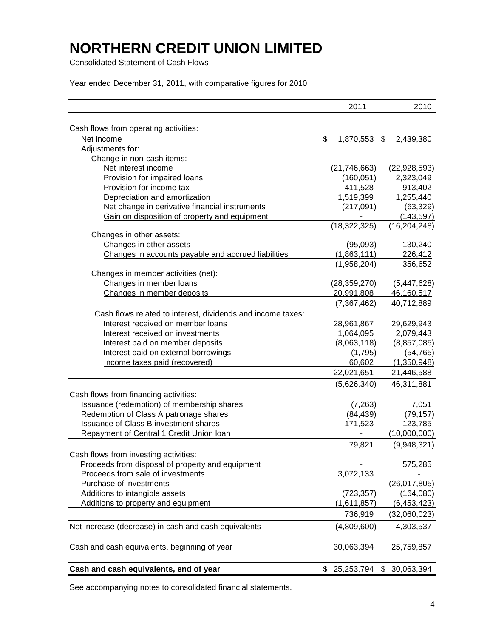Consolidated Statement of Cash Flows

Year ended December 31, 2011, with comparative figures for 2010

|                                                             | 2011            | 2010           |
|-------------------------------------------------------------|-----------------|----------------|
|                                                             |                 |                |
| Cash flows from operating activities:<br>Net income         | \$<br>1,870,553 | 2,439,380      |
| Adjustments for:                                            |                 | \$             |
| Change in non-cash items:                                   |                 |                |
| Net interest income                                         | (21, 746, 663)  | (22, 928, 593) |
| Provision for impaired loans                                | (160, 051)      | 2,323,049      |
| Provision for income tax                                    | 411,528         | 913,402        |
| Depreciation and amortization                               | 1,519,399       | 1,255,440      |
| Net change in derivative financial instruments              | (217,091)       | (63, 329)      |
| Gain on disposition of property and equipment               |                 | (143, 597)     |
|                                                             | (18, 322, 325)  | (16, 204, 248) |
| Changes in other assets:                                    |                 |                |
| Changes in other assets                                     | (95,093)        | 130,240        |
| Changes in accounts payable and accrued liabilities         | (1,863,111)     | 226,412        |
|                                                             | (1,958,204)     | 356,652        |
| Changes in member activities (net):                         |                 |                |
| Changes in member loans                                     | (28, 359, 270)  | (5,447,628)    |
| Changes in member deposits                                  | 20,991,808      | 46,160,517     |
|                                                             | (7, 367, 462)   | 40,712,889     |
| Cash flows related to interest, dividends and income taxes: |                 |                |
| Interest received on member loans                           | 28,961,867      | 29,629,943     |
| Interest received on investments                            | 1,064,095       | 2,079,443      |
| Interest paid on member deposits                            | (8,063,118)     | (8,857,085)    |
| Interest paid on external borrowings                        | (1,795)         | (54, 765)      |
| Income taxes paid (recovered)                               | 60,602          | (1,350,948)    |
|                                                             | 22,021,651      | 21,446,588     |
|                                                             | (5,626,340)     | 46,311,881     |
| Cash flows from financing activities:                       |                 |                |
| Issuance (redemption) of membership shares                  | (7, 263)        | 7,051          |
| Redemption of Class A patronage shares                      | (84, 439)       | (79, 157)      |
| <b>Issuance of Class B investment shares</b>                | 171,523         | 123,785        |
| Repayment of Central 1 Credit Union Ioan                    |                 | (10,000,000)   |
|                                                             | 79,821          | (9,948,321)    |
| Cash flows from investing activities:                       |                 |                |
| Proceeds from disposal of property and equipment            |                 | 575,285        |
| Proceeds from sale of investments                           | 3,072,133       |                |
| Purchase of investments                                     |                 | (26,017,805)   |
| Additions to intangible assets                              | (723, 357)      | (164,080)      |
| Additions to property and equipment                         | (1,611,857)     | (6,453,423)    |
|                                                             | 736,919         | (32,060,023)   |
| Net increase (decrease) in cash and cash equivalents        | (4,809,600)     | 4,303,537      |
| Cash and cash equivalents, beginning of year                | 30,063,394      | 25,759,857     |
|                                                             |                 |                |
| Cash and cash equivalents, end of year                      | \$25,253,794    | \$30,063,394   |

See accompanying notes to consolidated financial statements.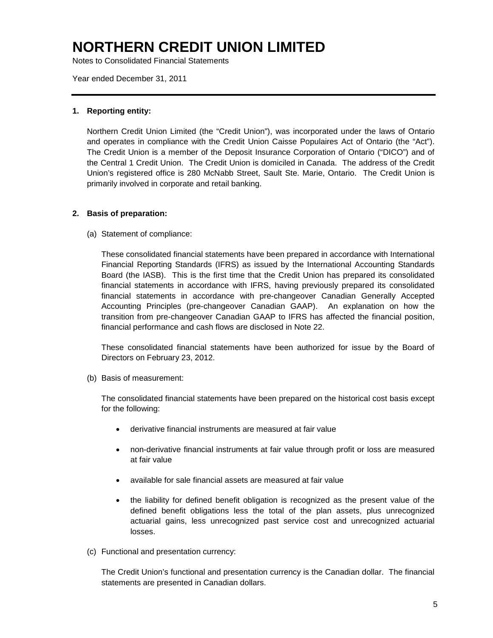Notes to Consolidated Financial Statements

Year ended December 31, 2011

#### **1. Reporting entity:**

Northern Credit Union Limited (the "Credit Union"), was incorporated under the laws of Ontario and operates in compliance with the Credit Union Caisse Populaires Act of Ontario (the "Act"). The Credit Union is a member of the Deposit Insurance Corporation of Ontario ("DICO") and of the Central 1 Credit Union. The Credit Union is domiciled in Canada. The address of the Credit Union's registered office is 280 McNabb Street, Sault Ste. Marie, Ontario. The Credit Union is primarily involved in corporate and retail banking.

#### **2. Basis of preparation:**

(a) Statement of compliance:

These consolidated financial statements have been prepared in accordance with International Financial Reporting Standards (IFRS) as issued by the International Accounting Standards Board (the IASB). This is the first time that the Credit Union has prepared its consolidated financial statements in accordance with IFRS, having previously prepared its consolidated financial statements in accordance with pre-changeover Canadian Generally Accepted Accounting Principles (pre-changeover Canadian GAAP). An explanation on how the transition from pre-changeover Canadian GAAP to IFRS has affected the financial position, financial performance and cash flows are disclosed in Note 22.

These consolidated financial statements have been authorized for issue by the Board of Directors on February 23, 2012.

(b) Basis of measurement:

The consolidated financial statements have been prepared on the historical cost basis except for the following:

- derivative financial instruments are measured at fair value
- non-derivative financial instruments at fair value through profit or loss are measured at fair value
- available for sale financial assets are measured at fair value
- the liability for defined benefit obligation is recognized as the present value of the defined benefit obligations less the total of the plan assets, plus unrecognized actuarial gains, less unrecognized past service cost and unrecognized actuarial losses.
- (c) Functional and presentation currency:

The Credit Union's functional and presentation currency is the Canadian dollar. The financial statements are presented in Canadian dollars.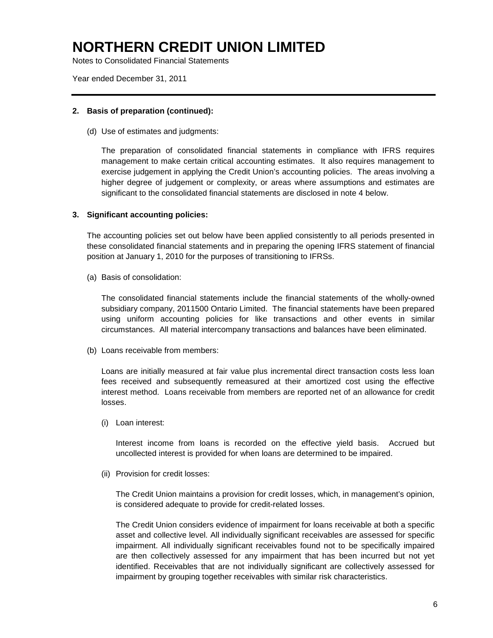Notes to Consolidated Financial Statements

Year ended December 31, 2011

#### **2. Basis of preparation (continued):**

(d) Use of estimates and judgments:

The preparation of consolidated financial statements in compliance with IFRS requires management to make certain critical accounting estimates. It also requires management to exercise judgement in applying the Credit Union's accounting policies. The areas involving a higher degree of judgement or complexity, or areas where assumptions and estimates are significant to the consolidated financial statements are disclosed in note 4 below.

#### **3. Significant accounting policies:**

The accounting policies set out below have been applied consistently to all periods presented in these consolidated financial statements and in preparing the opening IFRS statement of financial position at January 1, 2010 for the purposes of transitioning to IFRSs.

(a) Basis of consolidation:

The consolidated financial statements include the financial statements of the wholly-owned subsidiary company, 2011500 Ontario Limited. The financial statements have been prepared using uniform accounting policies for like transactions and other events in similar circumstances. All material intercompany transactions and balances have been eliminated.

(b) Loans receivable from members:

Loans are initially measured at fair value plus incremental direct transaction costs less loan fees received and subsequently remeasured at their amortized cost using the effective interest method. Loans receivable from members are reported net of an allowance for credit losses.

(i) Loan interest:

Interest income from loans is recorded on the effective yield basis. Accrued but uncollected interest is provided for when loans are determined to be impaired.

(ii) Provision for credit losses:

The Credit Union maintains a provision for credit losses, which, in management's opinion, is considered adequate to provide for credit-related losses.

The Credit Union considers evidence of impairment for loans receivable at both a specific asset and collective level. All individually significant receivables are assessed for specific impairment. All individually significant receivables found not to be specifically impaired are then collectively assessed for any impairment that has been incurred but not yet identified. Receivables that are not individually significant are collectively assessed for impairment by grouping together receivables with similar risk characteristics.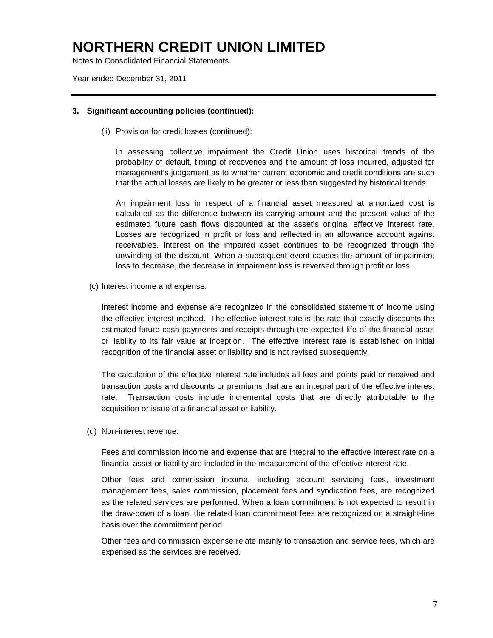Notes to Consolidated Financial Statements

Year ended December 31, 2011

#### **3. Significant accounting policies (continued):**

(ii) Provision for credit losses (continued):

In assessing collective impairment the Credit Union uses historical trends of the probability of default, timing of recoveries and the amount of loss incurred, adjusted for management's judgement as to whether current economic and credit conditions are such that the actual losses are likely to be greater or less than suggested by historical trends.

An impairment loss in respect of a financial asset measured at amortized cost is calculated as the difference between its carrying amount and the present value of the estimated future cash flows discounted at the asset's original effective interest rate. Losses are recognized in profit or loss and reflected in an allowance account against receivables. Interest on the impaired asset continues to be recognized through the unwinding of the discount. When a subsequent event causes the amount of impairment loss to decrease, the decrease in impairment loss is reversed through profit or loss.

(c) Interest income and expense:

Interest income and expense are recognized in the consolidated statement of income using the effective interest method. The effective interest rate is the rate that exactly discounts the estimated future cash payments and receipts through the expected life of the financial asset or liability to its fair value at inception. The effective interest rate is established on initial recognition of the financial asset or liability and is not revised subsequently.

The calculation of the effective interest rate includes all fees and points paid or received and transaction costs and discounts or premiums that are an integral part of the effective interest rate. Transaction costs include incremental costs that are directly attributable to the acquisition or issue of a financial asset or liability.

(d) Non-interest revenue:

Fees and commission income and expense that are integral to the effective interest rate on a financial asset or liability are included in the measurement of the effective interest rate.

Other fees and commission income, including account servicing fees, investment management fees, sales commission, placement fees and syndication fees, are recognized as the related services are performed. When a loan commitment is not expected to result in the draw-down of a loan, the related loan commitment fees are recognized on a straight-line basis over the commitment period.

Other fees and commission expense relate mainly to transaction and service fees, which are expensed as the services are received.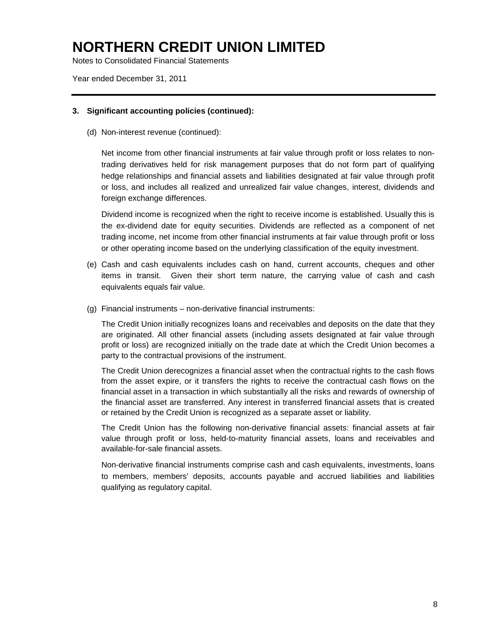Notes to Consolidated Financial Statements

Year ended December 31, 2011

#### **3. Significant accounting policies (continued):**

(d) Non-interest revenue (continued):

Net income from other financial instruments at fair value through profit or loss relates to nontrading derivatives held for risk management purposes that do not form part of qualifying hedge relationships and financial assets and liabilities designated at fair value through profit or loss, and includes all realized and unrealized fair value changes, interest, dividends and foreign exchange differences.

Dividend income is recognized when the right to receive income is established. Usually this is the ex-dividend date for equity securities. Dividends are reflected as a component of net trading income, net income from other financial instruments at fair value through profit or loss or other operating income based on the underlying classification of the equity investment.

- (e) Cash and cash equivalents includes cash on hand, current accounts, cheques and other items in transit. Given their short term nature, the carrying value of cash and cash equivalents equals fair value.
- (g) Financial instruments non-derivative financial instruments:

The Credit Union initially recognizes loans and receivables and deposits on the date that they are originated. All other financial assets (including assets designated at fair value through profit or loss) are recognized initially on the trade date at which the Credit Union becomes a party to the contractual provisions of the instrument.

The Credit Union derecognizes a financial asset when the contractual rights to the cash flows from the asset expire, or it transfers the rights to receive the contractual cash flows on the financial asset in a transaction in which substantially all the risks and rewards of ownership of the financial asset are transferred. Any interest in transferred financial assets that is created or retained by the Credit Union is recognized as a separate asset or liability.

The Credit Union has the following non-derivative financial assets: financial assets at fair value through profit or loss, held-to-maturity financial assets, loans and receivables and available-for-sale financial assets.

Non-derivative financial instruments comprise cash and cash equivalents, investments, loans to members, members' deposits, accounts payable and accrued liabilities and liabilities qualifying as regulatory capital.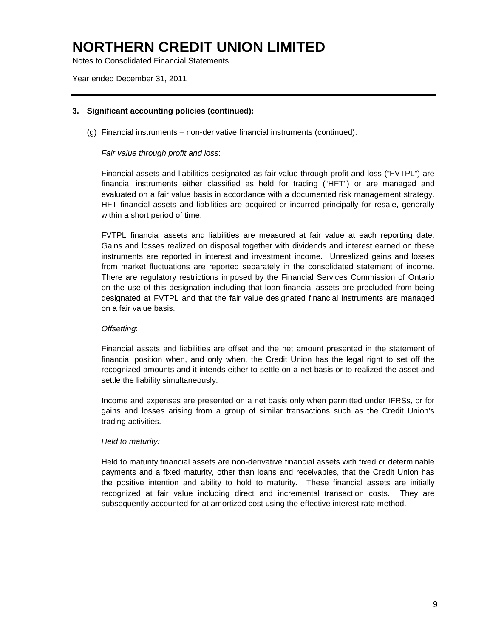Notes to Consolidated Financial Statements

Year ended December 31, 2011

#### **3. Significant accounting policies (continued):**

(g) Financial instruments – non-derivative financial instruments (continued):

#### *Fair value through profit and loss*:

Financial assets and liabilities designated as fair value through profit and loss ("FVTPL") are financial instruments either classified as held for trading ("HFT") or are managed and evaluated on a fair value basis in accordance with a documented risk management strategy. HFT financial assets and liabilities are acquired or incurred principally for resale, generally within a short period of time.

FVTPL financial assets and liabilities are measured at fair value at each reporting date. Gains and losses realized on disposal together with dividends and interest earned on these instruments are reported in interest and investment income. Unrealized gains and losses from market fluctuations are reported separately in the consolidated statement of income. There are regulatory restrictions imposed by the Financial Services Commission of Ontario on the use of this designation including that loan financial assets are precluded from being designated at FVTPL and that the fair value designated financial instruments are managed on a fair value basis.

### *Offsetting*:

Financial assets and liabilities are offset and the net amount presented in the statement of financial position when, and only when, the Credit Union has the legal right to set off the recognized amounts and it intends either to settle on a net basis or to realized the asset and settle the liability simultaneously.

Income and expenses are presented on a net basis only when permitted under IFRSs, or for gains and losses arising from a group of similar transactions such as the Credit Union's trading activities.

#### *Held to maturity:*

Held to maturity financial assets are non-derivative financial assets with fixed or determinable payments and a fixed maturity, other than loans and receivables, that the Credit Union has the positive intention and ability to hold to maturity. These financial assets are initially recognized at fair value including direct and incremental transaction costs. They are subsequently accounted for at amortized cost using the effective interest rate method.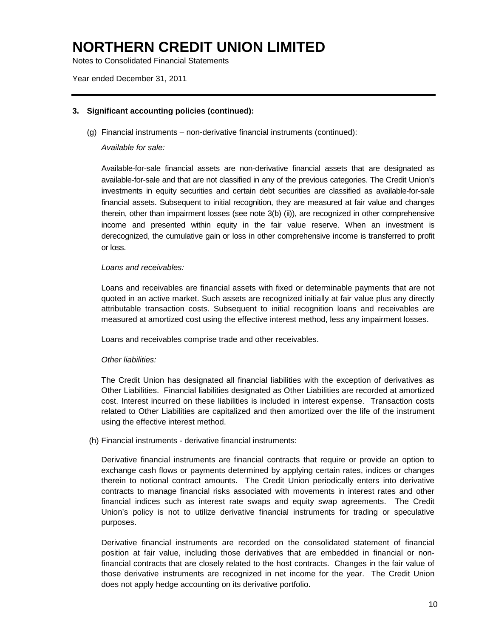Notes to Consolidated Financial Statements

Year ended December 31, 2011

#### **3. Significant accounting policies (continued):**

(g) Financial instruments – non-derivative financial instruments (continued):

*Available for sale:*

Available-for-sale financial assets are non-derivative financial assets that are designated as available-for-sale and that are not classified in any of the previous categories. The Credit Union's investments in equity securities and certain debt securities are classified as available-for-sale financial assets. Subsequent to initial recognition, they are measured at fair value and changes therein, other than impairment losses (see note 3(b) (ii)), are recognized in other comprehensive income and presented within equity in the fair value reserve. When an investment is derecognized, the cumulative gain or loss in other comprehensive income is transferred to profit or loss.

#### *Loans and receivables:*

Loans and receivables are financial assets with fixed or determinable payments that are not quoted in an active market. Such assets are recognized initially at fair value plus any directly attributable transaction costs. Subsequent to initial recognition loans and receivables are measured at amortized cost using the effective interest method, less any impairment losses.

Loans and receivables comprise trade and other receivables.

#### *Other liabilities:*

The Credit Union has designated all financial liabilities with the exception of derivatives as Other Liabilities. Financial liabilities designated as Other Liabilities are recorded at amortized cost. Interest incurred on these liabilities is included in interest expense. Transaction costs related to Other Liabilities are capitalized and then amortized over the life of the instrument using the effective interest method.

(h) Financial instruments - derivative financial instruments:

Derivative financial instruments are financial contracts that require or provide an option to exchange cash flows or payments determined by applying certain rates, indices or changes therein to notional contract amounts. The Credit Union periodically enters into derivative contracts to manage financial risks associated with movements in interest rates and other financial indices such as interest rate swaps and equity swap agreements. The Credit Union's policy is not to utilize derivative financial instruments for trading or speculative purposes.

Derivative financial instruments are recorded on the consolidated statement of financial position at fair value, including those derivatives that are embedded in financial or nonfinancial contracts that are closely related to the host contracts. Changes in the fair value of those derivative instruments are recognized in net income for the year. The Credit Union does not apply hedge accounting on its derivative portfolio.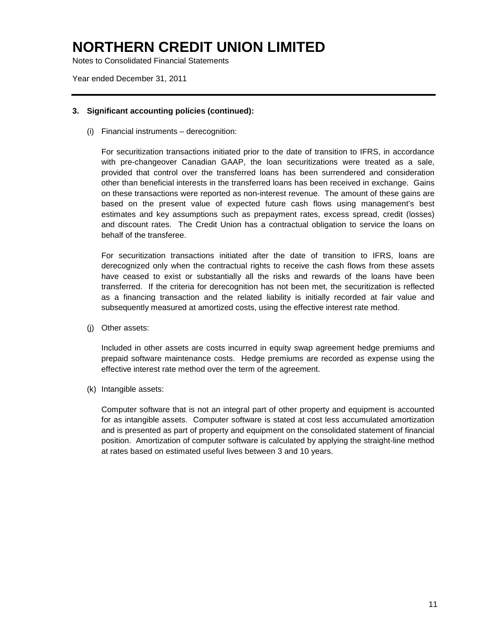Notes to Consolidated Financial Statements

Year ended December 31, 2011

#### **3. Significant accounting policies (continued):**

(i) Financial instruments – derecognition:

For securitization transactions initiated prior to the date of transition to IFRS, in accordance with pre-changeover Canadian GAAP, the loan securitizations were treated as a sale, provided that control over the transferred loans has been surrendered and consideration other than beneficial interests in the transferred loans has been received in exchange. Gains on these transactions were reported as non-interest revenue. The amount of these gains are based on the present value of expected future cash flows using management's best estimates and key assumptions such as prepayment rates, excess spread, credit (losses) and discount rates. The Credit Union has a contractual obligation to service the loans on behalf of the transferee.

For securitization transactions initiated after the date of transition to IFRS, loans are derecognized only when the contractual rights to receive the cash flows from these assets have ceased to exist or substantially all the risks and rewards of the loans have been transferred. If the criteria for derecognition has not been met, the securitization is reflected as a financing transaction and the related liability is initially recorded at fair value and subsequently measured at amortized costs, using the effective interest rate method.

(j) Other assets:

Included in other assets are costs incurred in equity swap agreement hedge premiums and prepaid software maintenance costs. Hedge premiums are recorded as expense using the effective interest rate method over the term of the agreement.

(k) Intangible assets:

Computer software that is not an integral part of other property and equipment is accounted for as intangible assets. Computer software is stated at cost less accumulated amortization and is presented as part of property and equipment on the consolidated statement of financial position. Amortization of computer software is calculated by applying the straight-line method at rates based on estimated useful lives between 3 and 10 years.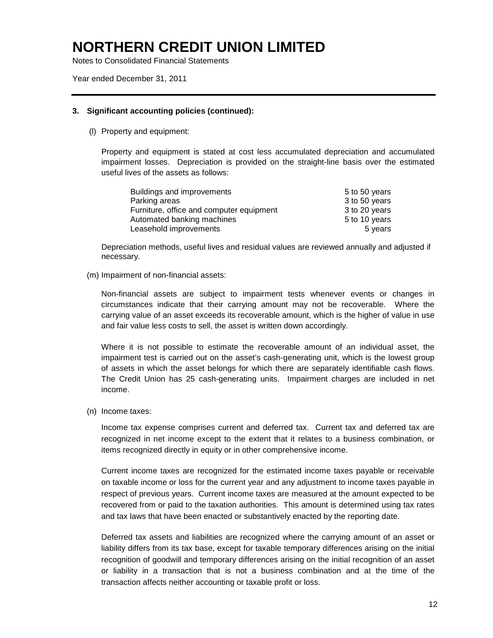Notes to Consolidated Financial Statements

Year ended December 31, 2011

#### **3. Significant accounting policies (continued):**

(l) Property and equipment:

Property and equipment is stated at cost less accumulated depreciation and accumulated impairment losses. Depreciation is provided on the straight-line basis over the estimated useful lives of the assets as follows:

| Buildings and improvements               | 5 to 50 years |
|------------------------------------------|---------------|
| Parking areas                            | 3 to 50 years |
| Furniture, office and computer equipment | 3 to 20 years |
| Automated banking machines               | 5 to 10 years |
| Leasehold improvements                   | 5 years       |

Depreciation methods, useful lives and residual values are reviewed annually and adjusted if necessary.

(m) Impairment of non-financial assets:

Non-financial assets are subject to impairment tests whenever events or changes in circumstances indicate that their carrying amount may not be recoverable. Where the carrying value of an asset exceeds its recoverable amount, which is the higher of value in use and fair value less costs to sell, the asset is written down accordingly.

Where it is not possible to estimate the recoverable amount of an individual asset, the impairment test is carried out on the asset's cash-generating unit, which is the lowest group of assets in which the asset belongs for which there are separately identifiable cash flows. The Credit Union has 25 cash-generating units. Impairment charges are included in net income.

(n) Income taxes:

Income tax expense comprises current and deferred tax. Current tax and deferred tax are recognized in net income except to the extent that it relates to a business combination, or items recognized directly in equity or in other comprehensive income.

Current income taxes are recognized for the estimated income taxes payable or receivable on taxable income or loss for the current year and any adjustment to income taxes payable in respect of previous years. Current income taxes are measured at the amount expected to be recovered from or paid to the taxation authorities. This amount is determined using tax rates and tax laws that have been enacted or substantively enacted by the reporting date.

Deferred tax assets and liabilities are recognized where the carrying amount of an asset or liability differs from its tax base, except for taxable temporary differences arising on the initial recognition of goodwill and temporary differences arising on the initial recognition of an asset or liability in a transaction that is not a business combination and at the time of the transaction affects neither accounting or taxable profit or loss.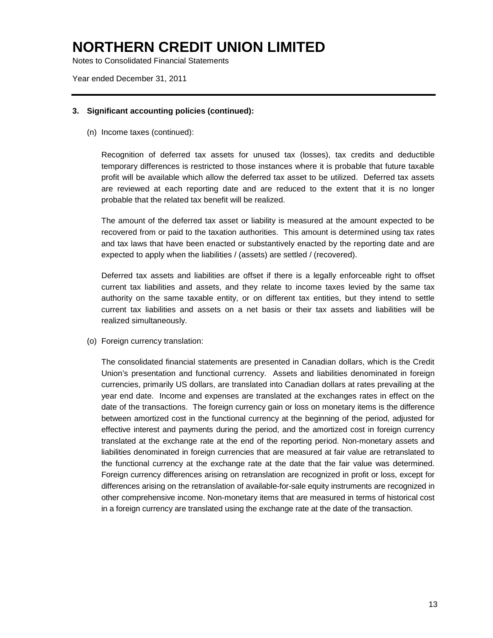Notes to Consolidated Financial Statements

Year ended December 31, 2011

#### **3. Significant accounting policies (continued):**

(n) Income taxes (continued):

Recognition of deferred tax assets for unused tax (losses), tax credits and deductible temporary differences is restricted to those instances where it is probable that future taxable profit will be available which allow the deferred tax asset to be utilized. Deferred tax assets are reviewed at each reporting date and are reduced to the extent that it is no longer probable that the related tax benefit will be realized.

The amount of the deferred tax asset or liability is measured at the amount expected to be recovered from or paid to the taxation authorities. This amount is determined using tax rates and tax laws that have been enacted or substantively enacted by the reporting date and are expected to apply when the liabilities / (assets) are settled / (recovered).

Deferred tax assets and liabilities are offset if there is a legally enforceable right to offset current tax liabilities and assets, and they relate to income taxes levied by the same tax authority on the same taxable entity, or on different tax entities, but they intend to settle current tax liabilities and assets on a net basis or their tax assets and liabilities will be realized simultaneously.

(o) Foreign currency translation:

The consolidated financial statements are presented in Canadian dollars, which is the Credit Union's presentation and functional currency. Assets and liabilities denominated in foreign currencies, primarily US dollars, are translated into Canadian dollars at rates prevailing at the year end date. Income and expenses are translated at the exchanges rates in effect on the date of the transactions. The foreign currency gain or loss on monetary items is the difference between amortized cost in the functional currency at the beginning of the period, adjusted for effective interest and payments during the period, and the amortized cost in foreign currency translated at the exchange rate at the end of the reporting period. Non-monetary assets and liabilities denominated in foreign currencies that are measured at fair value are retranslated to the functional currency at the exchange rate at the date that the fair value was determined. Foreign currency differences arising on retranslation are recognized in profit or loss, except for differences arising on the retranslation of available-for-sale equity instruments are recognized in other comprehensive income. Non-monetary items that are measured in terms of historical cost in a foreign currency are translated using the exchange rate at the date of the transaction.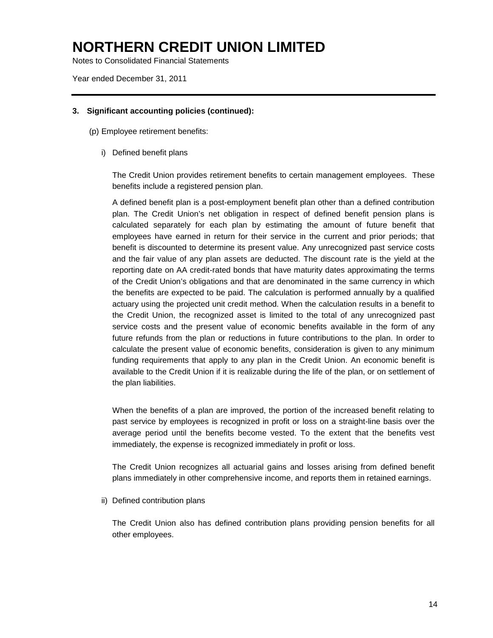Notes to Consolidated Financial Statements

Year ended December 31, 2011

#### **3. Significant accounting policies (continued):**

(p) Employee retirement benefits:

i) Defined benefit plans

The Credit Union provides retirement benefits to certain management employees. These benefits include a registered pension plan.

A defined benefit plan is a post-employment benefit plan other than a defined contribution plan. The Credit Union's net obligation in respect of defined benefit pension plans is calculated separately for each plan by estimating the amount of future benefit that employees have earned in return for their service in the current and prior periods; that benefit is discounted to determine its present value. Any unrecognized past service costs and the fair value of any plan assets are deducted. The discount rate is the yield at the reporting date on AA credit-rated bonds that have maturity dates approximating the terms of the Credit Union's obligations and that are denominated in the same currency in which the benefits are expected to be paid. The calculation is performed annually by a qualified actuary using the projected unit credit method. When the calculation results in a benefit to the Credit Union, the recognized asset is limited to the total of any unrecognized past service costs and the present value of economic benefits available in the form of any future refunds from the plan or reductions in future contributions to the plan. In order to calculate the present value of economic benefits, consideration is given to any minimum funding requirements that apply to any plan in the Credit Union. An economic benefit is available to the Credit Union if it is realizable during the life of the plan, or on settlement of the plan liabilities.

When the benefits of a plan are improved, the portion of the increased benefit relating to past service by employees is recognized in profit or loss on a straight-line basis over the average period until the benefits become vested. To the extent that the benefits vest immediately, the expense is recognized immediately in profit or loss.

The Credit Union recognizes all actuarial gains and losses arising from defined benefit plans immediately in other comprehensive income, and reports them in retained earnings.

ii) Defined contribution plans

The Credit Union also has defined contribution plans providing pension benefits for all other employees.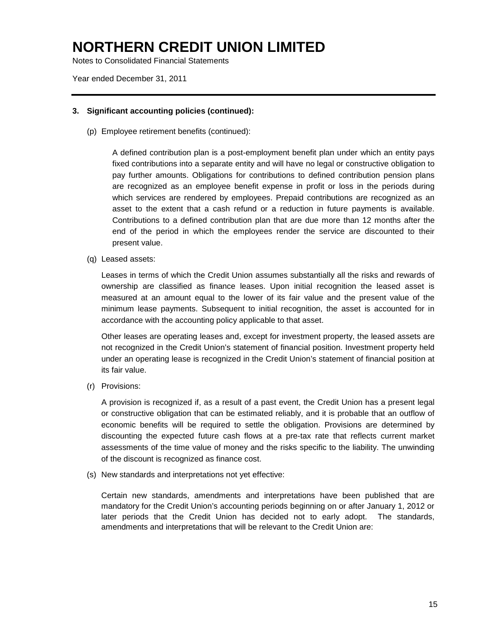Notes to Consolidated Financial Statements

Year ended December 31, 2011

#### **3. Significant accounting policies (continued):**

(p) Employee retirement benefits (continued):

A defined contribution plan is a post-employment benefit plan under which an entity pays fixed contributions into a separate entity and will have no legal or constructive obligation to pay further amounts. Obligations for contributions to defined contribution pension plans are recognized as an employee benefit expense in profit or loss in the periods during which services are rendered by employees. Prepaid contributions are recognized as an asset to the extent that a cash refund or a reduction in future payments is available. Contributions to a defined contribution plan that are due more than 12 months after the end of the period in which the employees render the service are discounted to their present value.

(q) Leased assets:

Leases in terms of which the Credit Union assumes substantially all the risks and rewards of ownership are classified as finance leases. Upon initial recognition the leased asset is measured at an amount equal to the lower of its fair value and the present value of the minimum lease payments. Subsequent to initial recognition, the asset is accounted for in accordance with the accounting policy applicable to that asset.

Other leases are operating leases and, except for investment property, the leased assets are not recognized in the Credit Union's statement of financial position. Investment property held under an operating lease is recognized in the Credit Union's statement of financial position at its fair value.

(r) Provisions:

A provision is recognized if, as a result of a past event, the Credit Union has a present legal or constructive obligation that can be estimated reliably, and it is probable that an outflow of economic benefits will be required to settle the obligation. Provisions are determined by discounting the expected future cash flows at a pre-tax rate that reflects current market assessments of the time value of money and the risks specific to the liability. The unwinding of the discount is recognized as finance cost.

(s) New standards and interpretations not yet effective:

Certain new standards, amendments and interpretations have been published that are mandatory for the Credit Union's accounting periods beginning on or after January 1, 2012 or later periods that the Credit Union has decided not to early adopt. The standards, amendments and interpretations that will be relevant to the Credit Union are: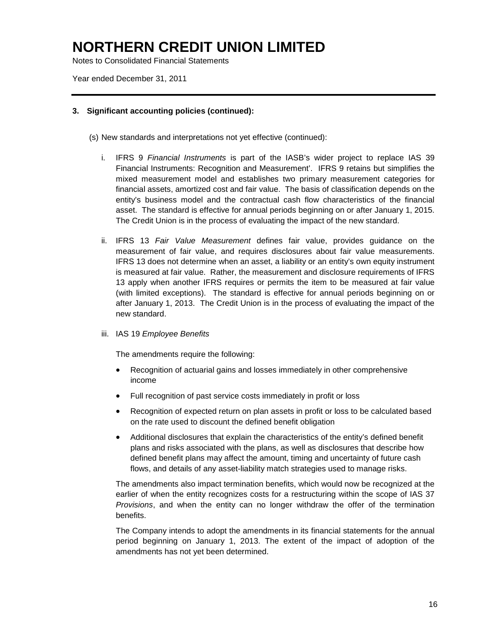Notes to Consolidated Financial Statements

Year ended December 31, 2011

#### **3. Significant accounting policies (continued):**

(s) New standards and interpretations not yet effective (continued):

- i. IFRS 9 *Financial Instruments* is part of the IASB's wider project to replace IAS 39 Financial Instruments: Recognition and Measurement'. IFRS 9 retains but simplifies the mixed measurement model and establishes two primary measurement categories for financial assets, amortized cost and fair value. The basis of classification depends on the entity's business model and the contractual cash flow characteristics of the financial asset. The standard is effective for annual periods beginning on or after January 1, 2015. The Credit Union is in the process of evaluating the impact of the new standard.
- ii. IFRS 13 *Fair Value Measurement* defines fair value, provides guidance on the measurement of fair value, and requires disclosures about fair value measurements. IFRS 13 does not determine when an asset, a liability or an entity's own equity instrument is measured at fair value. Rather, the measurement and disclosure requirements of IFRS 13 apply when another IFRS requires or permits the item to be measured at fair value (with limited exceptions). The standard is effective for annual periods beginning on or after January 1, 2013. The Credit Union is in the process of evaluating the impact of the new standard.
- iii. IAS 19 *Employee Benefits*

The amendments require the following:

- Recognition of actuarial gains and losses immediately in other comprehensive income
- Full recognition of past service costs immediately in profit or loss
- Recognition of expected return on plan assets in profit or loss to be calculated based on the rate used to discount the defined benefit obligation
- Additional disclosures that explain the characteristics of the entity's defined benefit plans and risks associated with the plans, as well as disclosures that describe how defined benefit plans may affect the amount, timing and uncertainty of future cash flows, and details of any asset-liability match strategies used to manage risks.

The amendments also impact termination benefits, which would now be recognized at the earlier of when the entity recognizes costs for a restructuring within the scope of IAS 37 *Provisions*, and when the entity can no longer withdraw the offer of the termination benefits.

The Company intends to adopt the amendments in its financial statements for the annual period beginning on January 1, 2013. The extent of the impact of adoption of the amendments has not yet been determined.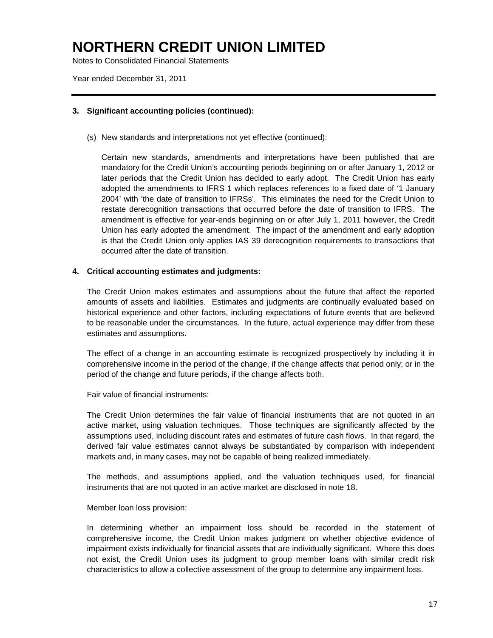Notes to Consolidated Financial Statements

Year ended December 31, 2011

#### **3. Significant accounting policies (continued):**

(s) New standards and interpretations not yet effective (continued):

Certain new standards, amendments and interpretations have been published that are mandatory for the Credit Union's accounting periods beginning on or after January 1, 2012 or later periods that the Credit Union has decided to early adopt. The Credit Union has early adopted the amendments to IFRS 1 which replaces references to a fixed date of '1 January 2004' with 'the date of transition to IFRSs'. This eliminates the need for the Credit Union to restate derecognition transactions that occurred before the date of transition to IFRS. The amendment is effective for year-ends beginning on or after July 1, 2011 however, the Credit Union has early adopted the amendment. The impact of the amendment and early adoption is that the Credit Union only applies IAS 39 derecognition requirements to transactions that occurred after the date of transition.

#### **4. Critical accounting estimates and judgments:**

The Credit Union makes estimates and assumptions about the future that affect the reported amounts of assets and liabilities. Estimates and judgments are continually evaluated based on historical experience and other factors, including expectations of future events that are believed to be reasonable under the circumstances. In the future, actual experience may differ from these estimates and assumptions.

The effect of a change in an accounting estimate is recognized prospectively by including it in comprehensive income in the period of the change, if the change affects that period only; or in the period of the change and future periods, if the change affects both.

Fair value of financial instruments:

The Credit Union determines the fair value of financial instruments that are not quoted in an active market, using valuation techniques. Those techniques are significantly affected by the assumptions used, including discount rates and estimates of future cash flows. In that regard, the derived fair value estimates cannot always be substantiated by comparison with independent markets and, in many cases, may not be capable of being realized immediately.

The methods, and assumptions applied, and the valuation techniques used, for financial instruments that are not quoted in an active market are disclosed in note 18.

#### Member loan loss provision:

In determining whether an impairment loss should be recorded in the statement of comprehensive income, the Credit Union makes judgment on whether objective evidence of impairment exists individually for financial assets that are individually significant. Where this does not exist, the Credit Union uses its judgment to group member loans with similar credit risk characteristics to allow a collective assessment of the group to determine any impairment loss.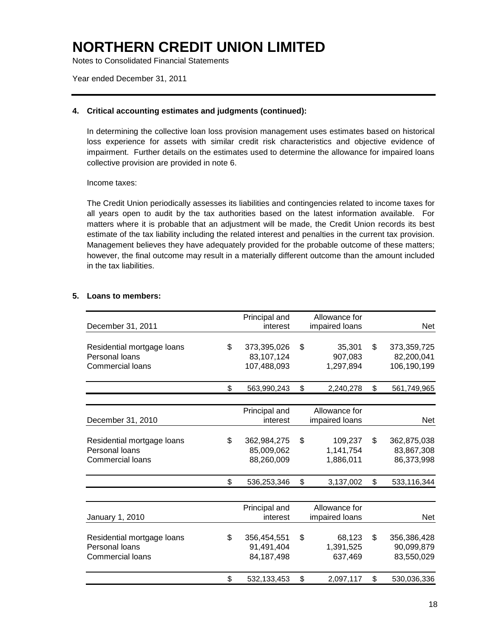Notes to Consolidated Financial Statements

Year ended December 31, 2011

#### **4. Critical accounting estimates and judgments (continued):**

In determining the collective loan loss provision management uses estimates based on historical loss experience for assets with similar credit risk characteristics and objective evidence of impairment. Further details on the estimates used to determine the allowance for impaired loans collective provision are provided in note 6.

#### Income taxes:

The Credit Union periodically assesses its liabilities and contingencies related to income taxes for all years open to audit by the tax authorities based on the latest information available. For matters where it is probable that an adjustment will be made, the Credit Union records its best estimate of the tax liability including the related interest and penalties in the current tax provision. Management believes they have adequately provided for the probable outcome of these matters; however, the final outcome may result in a materially different outcome than the amount included in the tax liabilities.

#### **5. Loans to members:**

| December 31, 2011                            | Principal and<br>interest | Allowance for<br>impaired loans | Net               |
|----------------------------------------------|---------------------------|---------------------------------|-------------------|
|                                              |                           |                                 | \$                |
| Residential mortgage loans<br>Personal loans | \$<br>373,395,026         | \$<br>35,301                    | 373,359,725       |
|                                              | 83,107,124                | 907,083                         | 82,200,041        |
| <b>Commercial loans</b>                      | 107,488,093               | 1,297,894                       | 106,190,199       |
|                                              | \$<br>563,990,243         | \$<br>2,240,278                 | \$<br>561,749,965 |
|                                              |                           |                                 |                   |
|                                              | Principal and             | Allowance for                   |                   |
| December 31, 2010                            | interest                  | impaired loans                  | Net               |
| Residential mortgage loans                   | \$<br>362,984,275         | \$<br>109,237                   | \$<br>362,875,038 |
| Personal loans                               | 85,009,062                | 1,141,754                       | 83,867,308        |
| Commercial loans                             | 88,260,009                | 1,886,011                       | 86,373,998        |
|                                              |                           |                                 |                   |
|                                              | \$<br>536,253,346         | \$<br>3,137,002                 | \$<br>533,116,344 |
|                                              |                           |                                 |                   |
|                                              | Principal and             | Allowance for                   |                   |
| January 1, 2010                              | interest                  | impaired loans                  | Net               |
| Residential mortgage loans                   | \$<br>356,454,551         | \$<br>68,123                    | \$<br>356,386,428 |
| Personal loans                               | 91,491,404                | 1,391,525                       | 90,099,879        |
| <b>Commercial loans</b>                      | 84, 187, 498              | 637,469                         | 83,550,029        |
|                                              |                           |                                 |                   |
|                                              | \$<br>532,133,453         | \$<br>2,097,117                 | \$<br>530,036,336 |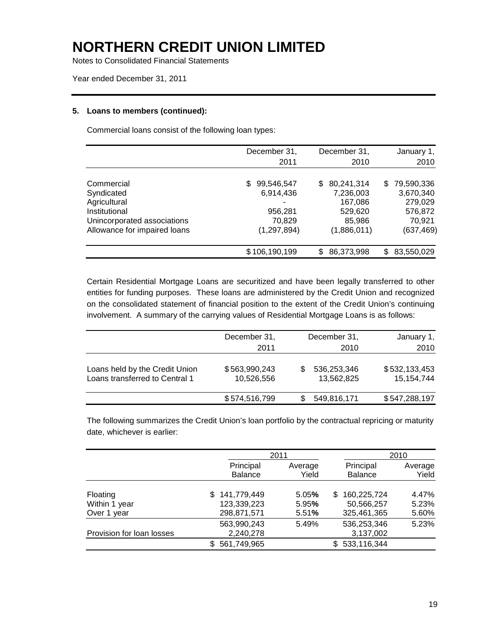Notes to Consolidated Financial Statements

Year ended December 31, 2011

#### **5. Loans to members (continued):**

Commercial loans consist of the following loan types:

|                              | December 31,<br>2011 | December 31,<br>2010 | January 1,<br>2010 |
|------------------------------|----------------------|----------------------|--------------------|
|                              |                      |                      |                    |
| Commercial                   | 99,546,547<br>S.     | 80,241,314<br>S.     | 79,590,336<br>S.   |
| Syndicated                   | 6,914,436            | 7,236,003            | 3,670,340          |
| Agricultural                 | ۰                    | 167,086              | 279,029            |
| Institutional                | 956,281              | 529,620              | 576,872            |
| Unincorporated associations  | 70,829               | 85,986               | 70,921             |
| Allowance for impaired loans | (1, 297, 894)        | (1,886,011)          | (637, 469)         |
|                              | \$106,190,199        | 86,373,998<br>S      | 83,550,029<br>S.   |

Certain Residential Mortgage Loans are securitized and have been legally transferred to other entities for funding purposes. These loans are administered by the Credit Union and recognized on the consolidated statement of financial position to the extent of the Credit Union's continuing involvement. A summary of the carrying values of Residential Mortgage Loans is as follows:

|                                                                  | December 31,<br>2011        | December 31,<br>2010           | January 1,<br>2010          |
|------------------------------------------------------------------|-----------------------------|--------------------------------|-----------------------------|
| Loans held by the Credit Union<br>Loans transferred to Central 1 | \$563,990,243<br>10,526,556 | 536,253,346<br>S<br>13,562,825 | \$532,133,453<br>15,154,744 |
|                                                                  | \$574,516,799               | 549,816,171                    | \$547,288,197               |

The following summarizes the Credit Union's loan portfolio by the contractual repricing or maturity date, whichever is earlier:

|                           |                | 2011    |                    | 2010    |
|---------------------------|----------------|---------|--------------------|---------|
|                           | Principal      | Average | Principal          | Average |
|                           | <b>Balance</b> | Yield   | <b>Balance</b>     | Yield   |
|                           |                |         |                    |         |
| Floating                  | 141,779,449    | 5.05%   | 160,225,724<br>\$. | 4.47%   |
| Within 1 year             | 123,339,223    | 5.95%   | 50,566,257         | 5.23%   |
| Over 1 year               | 298,871,571    | 5.51%   | 325,461,365        | 5.60%   |
|                           | 563,990,243    | 5.49%   | 536,253,346        | 5.23%   |
| Provision for loan losses | 2,240,278      |         | 3,137,002          |         |
|                           | 561,749,965    |         | 533,116,344<br>\$. |         |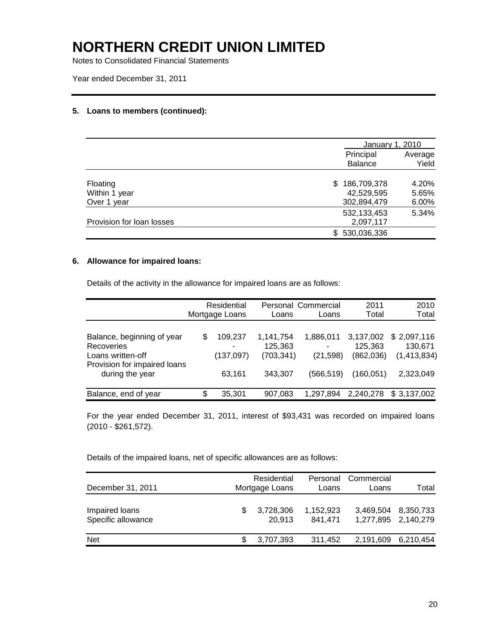Notes to Consolidated Financial Statements

Year ended December 31, 2011

#### **5. Loans to members (continued):**

|                           | January 1, 2010             |                  |
|---------------------------|-----------------------------|------------------|
|                           | Principal<br><b>Balance</b> | Average<br>Yield |
| Floating                  | 186,709,378<br>S.           | 4.20%            |
| Within 1 year             | 42,529,595                  | 5.65%            |
| Over 1 year               | 302,894,479                 | 6.00%            |
|                           | 532, 133, 453               | 5.34%            |
| Provision for loan losses | 2,097,117                   |                  |
|                           | 530,036,336<br>\$.          |                  |

### **6. Allowance for impaired loans:**

Details of the activity in the allowance for impaired loans are as follows:

|                                                                                                                         |   | Residential<br>Mortgage Loans   | Loans                                         | Personal Commercial<br>Loans        | 2011<br>Total                                   | 2010<br>Total                                      |
|-------------------------------------------------------------------------------------------------------------------------|---|---------------------------------|-----------------------------------------------|-------------------------------------|-------------------------------------------------|----------------------------------------------------|
| Balance, beginning of year<br><b>Recoveries</b><br>Loans written-off<br>Provision for impaired loans<br>during the year | S | 109,237<br>(137, 097)<br>63,161 | 1,141,754<br>125,363<br>(703, 341)<br>343,307 | 1,886,011<br>(21, 598)<br>(566,519) | 3,137,002<br>125.363<br>(862,036)<br>(160, 051) | \$2,097,116<br>130.671<br>(1,413,834)<br>2,323,049 |
| Balance, end of year                                                                                                    | S | 35,301                          | 907.083                                       | 1.297.894                           | 2,240,278                                       | \$3,137,002                                        |

For the year ended December 31, 2011, interest of \$93,431 was recorded on impaired loans (2010 - \$261,572).

Details of the impaired loans, net of specific allowances are as follows:

| December 31, 2011                    |    | Residential<br>Mortgage Loans | Personal<br>Loans    | Commercial<br>Loans | Total                            |
|--------------------------------------|----|-------------------------------|----------------------|---------------------|----------------------------------|
| Impaired loans<br>Specific allowance | SБ | 3,728,306<br>20.913           | 1,152,923<br>841.471 | 3,469,504           | 8,350,733<br>1,277,895 2,140,279 |
| <b>Net</b>                           |    | 3,707,393                     | 311,452              |                     | 2,191,609 6,210,454              |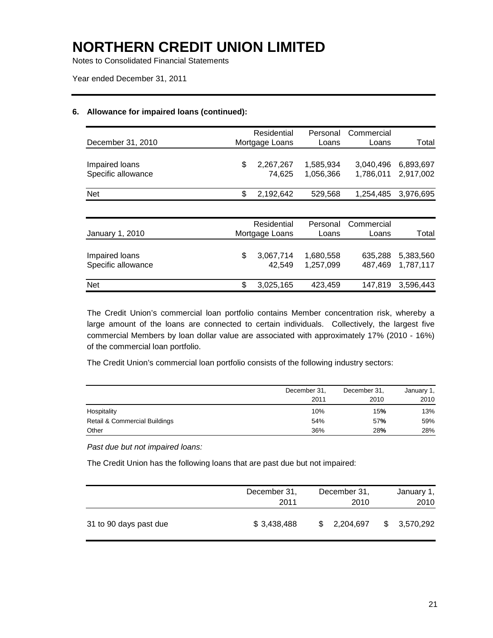Notes to Consolidated Financial Statements

Year ended December 31, 2011

#### **6. Allowance for impaired loans (continued):**

| December 31, 2010                    | Residential<br>Mortgage Loans | Personal<br>Loans      | Commercial<br>Loans    | Total                  |
|--------------------------------------|-------------------------------|------------------------|------------------------|------------------------|
| Impaired loans<br>Specific allowance | \$<br>2,267,267<br>74.625     | 1,585,934<br>1,056,366 | 3,040,496<br>1,786,011 | 6,893,697<br>2,917,002 |
| Net                                  | \$<br>2,192,642               | 529,568                | 1,254,485              | 3,976,695              |
|                                      |                               |                        |                        |                        |
| January 1, 2010                      | Residential<br>Mortgage Loans | Personal<br>Loans      | Commercial<br>Loans    | Total                  |
| Impaired loans<br>Specific allowance | \$<br>3,067,714<br>42,549     | 1,680,558<br>1,257,099 | 635,288<br>487.469     | 5,383,560<br>1,787,117 |
| <b>Net</b>                           | \$<br>3,025,165               | 423,459                | 147,819                | 3,596,443              |

The Credit Union's commercial loan portfolio contains Member concentration risk, whereby a large amount of the loans are connected to certain individuals. Collectively, the largest five commercial Members by loan dollar value are associated with approximately 17% (2010 - 16%) of the commercial loan portfolio.

The Credit Union's commercial loan portfolio consists of the following industry sectors:

|                               | December 31, | December 31, | January 1, |
|-------------------------------|--------------|--------------|------------|
|                               | 2011         | 2010         | 2010       |
| Hospitality                   | 10%          | 15%          | 13%        |
| Retail & Commercial Buildings | 54%          | 57%          | 59%        |
| Other                         | 36%          | 28%          | 28%        |

*Past due but not impaired loans:*

The Credit Union has the following loans that are past due but not impaired:

|                        | December 31,<br>2011 | December 31,<br>2010 |   | January 1,<br>2010 |
|------------------------|----------------------|----------------------|---|--------------------|
| 31 to 90 days past due | \$3,438,488          | 2,204,697<br>\$      | S | 3,570,292          |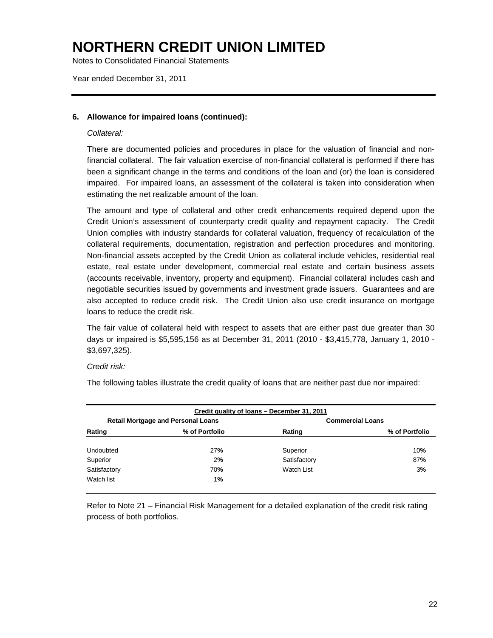Notes to Consolidated Financial Statements

Year ended December 31, 2011

#### **6. Allowance for impaired loans (continued):**

#### *Collateral:*

There are documented policies and procedures in place for the valuation of financial and nonfinancial collateral. The fair valuation exercise of non-financial collateral is performed if there has been a significant change in the terms and conditions of the loan and (or) the loan is considered impaired. For impaired loans, an assessment of the collateral is taken into consideration when estimating the net realizable amount of the loan.

The amount and type of collateral and other credit enhancements required depend upon the Credit Union's assessment of counterparty credit quality and repayment capacity. The Credit Union complies with industry standards for collateral valuation, frequency of recalculation of the collateral requirements, documentation, registration and perfection procedures and monitoring. Non-financial assets accepted by the Credit Union as collateral include vehicles, residential real estate, real estate under development, commercial real estate and certain business assets (accounts receivable, inventory, property and equipment). Financial collateral includes cash and negotiable securities issued by governments and investment grade issuers. Guarantees and are also accepted to reduce credit risk. The Credit Union also use credit insurance on mortgage loans to reduce the credit risk.

The fair value of collateral held with respect to assets that are either past due greater than 30 days or impaired is \$5,595,156 as at December 31, 2011 (2010 - \$3,415,778, January 1, 2010 - \$3,697,325).

#### *Credit risk:*

The following tables illustrate the credit quality of loans that are neither past due nor impaired:

| Credit quality of loans - December 31, 2011 |                                           |              |                         |  |  |
|---------------------------------------------|-------------------------------------------|--------------|-------------------------|--|--|
|                                             | <b>Retail Mortgage and Personal Loans</b> |              | <b>Commercial Loans</b> |  |  |
| Rating                                      | % of Portfolio                            | Rating       | % of Portfolio          |  |  |
| Undoubted                                   | <b>27%</b>                                | Superior     | 10%                     |  |  |
| Superior                                    | 2%                                        | Satisfactory | 87%                     |  |  |
| Satisfactory                                | 70 <sub>%</sub>                           | Watch List   | 3%                      |  |  |
| Watch list                                  | 1%                                        |              |                         |  |  |

Refer to Note 21 – Financial Risk Management for a detailed explanation of the credit risk rating process of both portfolios.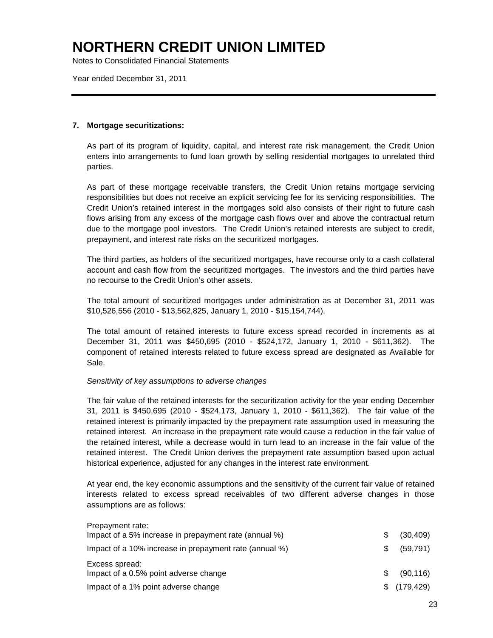Notes to Consolidated Financial Statements

Year ended December 31, 2011

#### **7. Mortgage securitizations:**

As part of its program of liquidity, capital, and interest rate risk management, the Credit Union enters into arrangements to fund loan growth by selling residential mortgages to unrelated third parties.

As part of these mortgage receivable transfers, the Credit Union retains mortgage servicing responsibilities but does not receive an explicit servicing fee for its servicing responsibilities. The Credit Union's retained interest in the mortgages sold also consists of their right to future cash flows arising from any excess of the mortgage cash flows over and above the contractual return due to the mortgage pool investors. The Credit Union's retained interests are subject to credit, prepayment, and interest rate risks on the securitized mortgages.

The third parties, as holders of the securitized mortgages, have recourse only to a cash collateral account and cash flow from the securitized mortgages. The investors and the third parties have no recourse to the Credit Union's other assets.

The total amount of securitized mortgages under administration as at December 31, 2011 was \$10,526,556 (2010 - \$13,562,825, January 1, 2010 - \$15,154,744).

The total amount of retained interests to future excess spread recorded in increments as at December 31, 2011 was \$450,695 (2010 - \$524,172, January 1, 2010 - \$611,362). The component of retained interests related to future excess spread are designated as Available for Sale.

#### *Sensitivity of key assumptions to adverse changes*

The fair value of the retained interests for the securitization activity for the year ending December 31, 2011 is \$450,695 (2010 - \$524,173, January 1, 2010 - \$611,362). The fair value of the retained interest is primarily impacted by the prepayment rate assumption used in measuring the retained interest. An increase in the prepayment rate would cause a reduction in the fair value of the retained interest, while a decrease would in turn lead to an increase in the fair value of the retained interest. The Credit Union derives the prepayment rate assumption based upon actual historical experience, adjusted for any changes in the interest rate environment.

At year end, the key economic assumptions and the sensitivity of the current fair value of retained interests related to excess spread receivables of two different adverse changes in those assumptions are as follows:

| Prepayment rate:                                       |     |           |
|--------------------------------------------------------|-----|-----------|
| Impact of a 5% increase in prepayment rate (annual %)  | \$. | (30, 409) |
| Impact of a 10% increase in prepayment rate (annual %) | SS. | (59, 791) |
| Excess spread:                                         |     |           |
| Impact of a 0.5% point adverse change                  | \$. | (90, 116) |
| Impact of a 1% point adverse change                    |     | (179,429) |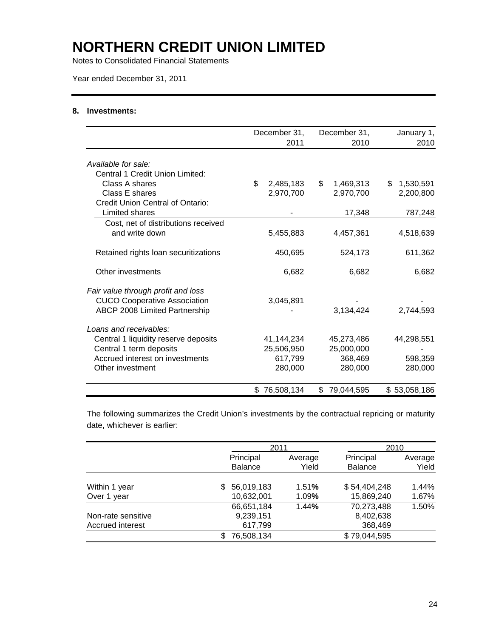Notes to Consolidated Financial Statements

Year ended December 31, 2011

#### **8. Investments:**

|                                      |     | December 31, | December 31,     | January 1,      |
|--------------------------------------|-----|--------------|------------------|-----------------|
|                                      |     | 2011         | 2010             | 2010            |
| Available for sale:                  |     |              |                  |                 |
| Central 1 Credit Union Limited:      |     |              |                  |                 |
| Class A shares                       | \$. | 2,485,183    | \$<br>1,469,313  | \$<br>1,530,591 |
| Class E shares                       |     | 2,970,700    | 2,970,700        | 2,200,800       |
| Credit Union Central of Ontario:     |     |              |                  |                 |
| Limited shares                       |     |              | 17,348           | 787,248         |
| Cost, net of distributions received  |     |              |                  |                 |
| and write down                       |     | 5,455,883    | 4,457,361        | 4,518,639       |
| Retained rights loan securitizations |     | 450,695      | 524,173          | 611,362         |
| Other investments                    |     | 6,682        | 6,682            | 6,682           |
| Fair value through profit and loss   |     |              |                  |                 |
| <b>CUCO Cooperative Association</b>  |     | 3,045,891    |                  |                 |
| ABCP 2008 Limited Partnership        |     |              | 3,134,424        | 2,744,593       |
| Loans and receivables:               |     |              |                  |                 |
| Central 1 liquidity reserve deposits |     | 41,144,234   | 45,273,486       | 44,298,551      |
| Central 1 term deposits              |     | 25,506,950   | 25,000,000       |                 |
| Accrued interest on investments      |     | 617,799      | 368,469          | 598,359         |
| Other investment                     |     | 280,000      | 280,000          | 280,000         |
|                                      |     | \$76,508,134 | \$<br>79,044,595 | \$53,058,186    |

The following summarizes the Credit Union's investments by the contractual repricing or maturity date, whichever is earlier:

|                    |                   | 2011    | 2010         |         |  |
|--------------------|-------------------|---------|--------------|---------|--|
|                    | Principal         | Average | Principal    | Average |  |
|                    | <b>Balance</b>    | Yield   | Balance      | Yield   |  |
|                    |                   |         |              |         |  |
| Within 1 year      | 56,019,183<br>\$. | 1.51%   | \$54,404,248 | 1.44%   |  |
| Over 1 year        | 10,632,001        | 1.09%   | 15,869,240   | 1.67%   |  |
|                    | 66,651,184        | 1.44%   | 70,273,488   | 1.50%   |  |
| Non-rate sensitive | 9,239,151         |         | 8,402,638    |         |  |
| Accrued interest   | 617,799           |         | 368,469      |         |  |
|                    | 76,508,134<br>S.  |         | \$79,044,595 |         |  |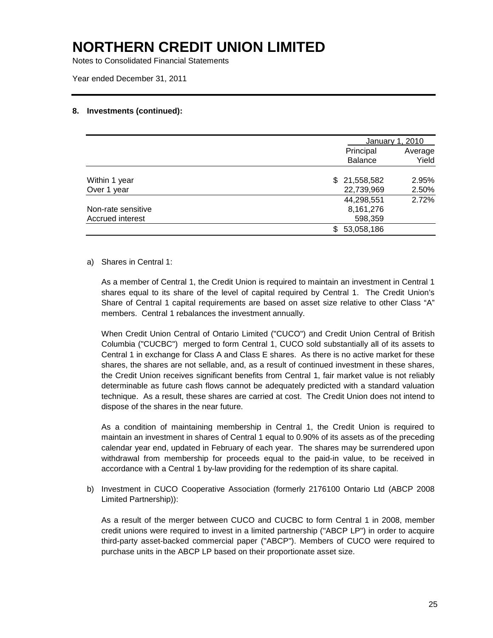Notes to Consolidated Financial Statements

Year ended December 31, 2011

#### **8. Investments (continued):**

|                    |                | January 1, 2010 |  |  |
|--------------------|----------------|-----------------|--|--|
|                    | Principal      | Average         |  |  |
|                    | <b>Balance</b> | Yield           |  |  |
| Within 1 year      | \$21,558,582   | 2.95%           |  |  |
| Over 1 year        | 22,739,969     | 2.50%           |  |  |
|                    | 44,298,551     | 2.72%           |  |  |
| Non-rate sensitive | 8,161,276      |                 |  |  |
| Accrued interest   | 598,359        |                 |  |  |
|                    | 53,058,186     |                 |  |  |

#### a) Shares in Central 1:

As a member of Central 1, the Credit Union is required to maintain an investment in Central 1 shares equal to its share of the level of capital required by Central 1. The Credit Union's Share of Central 1 capital requirements are based on asset size relative to other Class "A" members. Central 1 rebalances the investment annually.

When Credit Union Central of Ontario Limited ("CUCO") and Credit Union Central of British Columbia ("CUCBC") merged to form Central 1, CUCO sold substantially all of its assets to Central 1 in exchange for Class A and Class E shares. As there is no active market for these shares, the shares are not sellable, and, as a result of continued investment in these shares, the Credit Union receives significant benefits from Central 1, fair market value is not reliably determinable as future cash flows cannot be adequately predicted with a standard valuation technique. As a result, these shares are carried at cost. The Credit Union does not intend to dispose of the shares in the near future.

As a condition of maintaining membership in Central 1, the Credit Union is required to maintain an investment in shares of Central 1 equal to 0.90% of its assets as of the preceding calendar year end, updated in February of each year. The shares may be surrendered upon withdrawal from membership for proceeds equal to the paid-in value, to be received in accordance with a Central 1 by-law providing for the redemption of its share capital.

b) Investment in CUCO Cooperative Association (formerly 2176100 Ontario Ltd (ABCP 2008 Limited Partnership)):

As a result of the merger between CUCO and CUCBC to form Central 1 in 2008, member credit unions were required to invest in a limited partnership ("ABCP LP") in order to acquire third-party asset-backed commercial paper ("ABCP"). Members of CUCO were required to purchase units in the ABCP LP based on their proportionate asset size.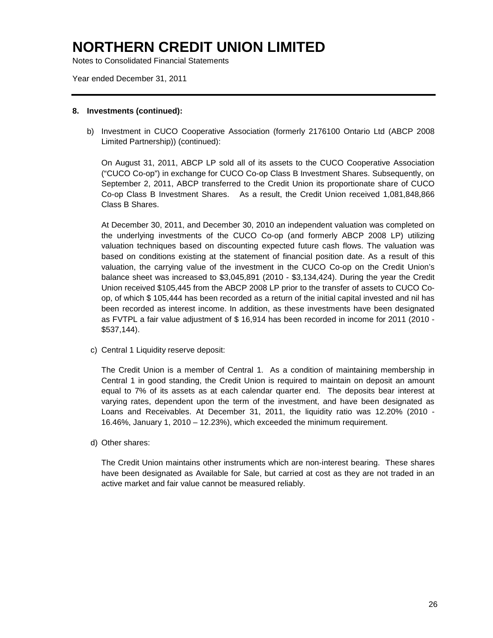Notes to Consolidated Financial Statements

Year ended December 31, 2011

#### **8. Investments (continued):**

b) Investment in CUCO Cooperative Association (formerly 2176100 Ontario Ltd (ABCP 2008 Limited Partnership)) (continued):

On August 31, 2011, ABCP LP sold all of its assets to the CUCO Cooperative Association ("CUCO Co-op") in exchange for CUCO Co-op Class B Investment Shares. Subsequently, on September 2, 2011, ABCP transferred to the Credit Union its proportionate share of CUCO Co-op Class B Investment Shares. As a result, the Credit Union received 1,081,848,866 Class B Shares.

At December 30, 2011, and December 30, 2010 an independent valuation was completed on the underlying investments of the CUCO Co-op (and formerly ABCP 2008 LP) utilizing valuation techniques based on discounting expected future cash flows. The valuation was based on conditions existing at the statement of financial position date. As a result of this valuation, the carrying value of the investment in the CUCO Co-op on the Credit Union's balance sheet was increased to \$3,045,891 (2010 - \$3,134,424). During the year the Credit Union received \$105,445 from the ABCP 2008 LP prior to the transfer of assets to CUCO Coop, of which \$ 105,444 has been recorded as a return of the initial capital invested and nil has been recorded as interest income. In addition, as these investments have been designated as FVTPL a fair value adjustment of \$ 16,914 has been recorded in income for 2011 (2010 - \$537,144).

c) Central 1 Liquidity reserve deposit:

The Credit Union is a member of Central 1. As a condition of maintaining membership in Central 1 in good standing, the Credit Union is required to maintain on deposit an amount equal to 7% of its assets as at each calendar quarter end. The deposits bear interest at varying rates, dependent upon the term of the investment, and have been designated as Loans and Receivables. At December 31, 2011, the liquidity ratio was 12.20% (2010 - 16.46%, January 1, 2010 – 12.23%), which exceeded the minimum requirement.

d) Other shares:

The Credit Union maintains other instruments which are non-interest bearing. These shares have been designated as Available for Sale, but carried at cost as they are not traded in an active market and fair value cannot be measured reliably.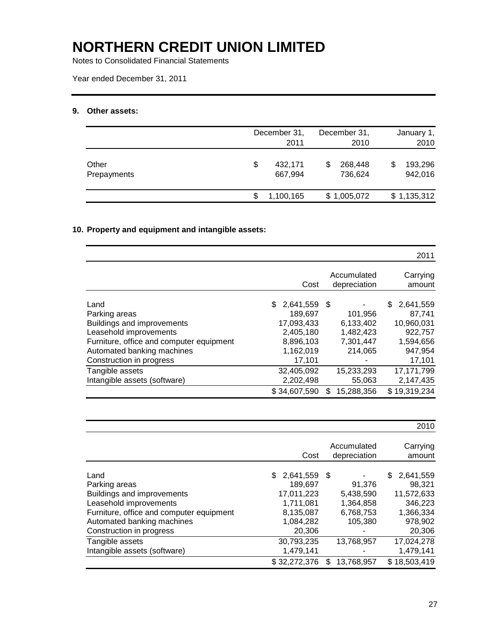Notes to Consolidated Financial Statements

Year ended December 31, 2011

### **9. Other assets:**

|                      | December 31,<br>2011     |   | December 31,<br>2010 |   | January 1,<br>2010 |
|----------------------|--------------------------|---|----------------------|---|--------------------|
| Other<br>Prepayments | \$<br>432.171<br>667.994 | S | 268,448<br>736,624   | S | 193,296<br>942,016 |
|                      | 1,100,165                |   | \$1,005,072          |   | \$1,135,312        |

### **10. Property and equipment and intangible assets:**

|                                                                                                                                                                                     |                                                                                            |                                                                   | 2011                                                                                |
|-------------------------------------------------------------------------------------------------------------------------------------------------------------------------------------|--------------------------------------------------------------------------------------------|-------------------------------------------------------------------|-------------------------------------------------------------------------------------|
|                                                                                                                                                                                     | Cost                                                                                       | Accumulated<br>depreciation                                       | Carrying<br>amount                                                                  |
| Land<br>Parking areas<br>Buildings and improvements<br>Leasehold improvements<br>Furniture, office and computer equipment<br>Automated banking machines<br>Construction in progress | 2,641,559<br>\$.<br>189,697<br>17,093,433<br>2,405,180<br>8,896,103<br>1.162.019<br>17,101 | - \$<br>101,956<br>6.133.402<br>1,482,423<br>7,301,447<br>214.065 | 2,641,559<br>S<br>87,741<br>10,960,031<br>922.757<br>1,594,656<br>947,954<br>17,101 |
| Tangible assets<br>Intangible assets (software)                                                                                                                                     | 32,405,092<br>2,202,498<br>\$34,607,590                                                    | 15,233,293<br>55,063<br>15,288,356<br>\$.                         | 17.171.799<br>2,147,435<br>\$19,319,234                                             |

|                                          |                 |                             | 2010               |
|------------------------------------------|-----------------|-----------------------------|--------------------|
|                                          | Cost            | Accumulated<br>depreciation | Carrying<br>amount |
| Land                                     | 2,641,559<br>S. | - \$                        | 2,641,559<br>\$.   |
| Parking areas                            | 189.697         | 91,376                      | 98.321             |
| Buildings and improvements               | 17,011,223      | 5,438,590                   | 11,572,633         |
| Leasehold improvements                   | 1,711,081       | 1,364,858                   | 346,223            |
| Furniture, office and computer equipment | 8,135,087       | 6,768,753                   | 1,366,334          |
| Automated banking machines               | 1,084,282       | 105,380                     | 978,902            |
| Construction in progress                 | 20,306          |                             | 20,306             |
| Tangible assets                          | 30,793,235      | 13,768,957                  | 17,024,278         |
| Intangible assets (software)             | 1,479,141       |                             | 1,479,141          |
|                                          | \$32,272,376    | 13,768,957<br>S             | \$18,503,419       |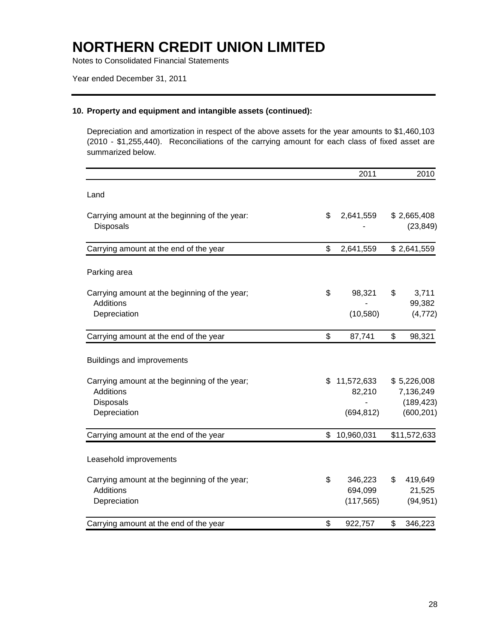Notes to Consolidated Financial Statements

Year ended December 31, 2011

#### **10. Property and equipment and intangible assets (continued):**

Depreciation and amortization in respect of the above assets for the year amounts to \$1,460,103 (2010 - \$1,255,440). Reconciliations of the carrying amount for each class of fixed asset are summarized below.

|                                                                                                       | 2011                                     | 2010                                                 |
|-------------------------------------------------------------------------------------------------------|------------------------------------------|------------------------------------------------------|
| Land                                                                                                  |                                          |                                                      |
| Carrying amount at the beginning of the year:<br><b>Disposals</b>                                     | \$<br>2,641,559                          | \$2,665,408<br>(23, 849)                             |
| Carrying amount at the end of the year                                                                | \$<br>2,641,559                          | \$2,641,559                                          |
| Parking area                                                                                          |                                          |                                                      |
| Carrying amount at the beginning of the year;<br><b>Additions</b>                                     | \$<br>98,321                             | \$<br>3,711<br>99,382                                |
| Depreciation                                                                                          | (10, 580)                                | (4, 772)                                             |
| Carrying amount at the end of the year                                                                | \$<br>87,741                             | \$<br>98,321                                         |
| Buildings and improvements                                                                            |                                          |                                                      |
| Carrying amount at the beginning of the year;<br><b>Additions</b><br><b>Disposals</b><br>Depreciation | \$<br>11,572,633<br>82,210<br>(694, 812) | \$5,226,008<br>7,136,249<br>(189, 423)<br>(600, 201) |
| Carrying amount at the end of the year                                                                | \$<br>10,960,031                         | \$11,572,633                                         |
| Leasehold improvements                                                                                |                                          |                                                      |
| Carrying amount at the beginning of the year;<br>Additions<br>Depreciation                            | \$<br>346,223<br>694,099<br>(117, 565)   | \$<br>419,649<br>21,525<br>(94, 951)                 |
| Carrying amount at the end of the year                                                                | \$<br>922,757                            | \$<br>346,223                                        |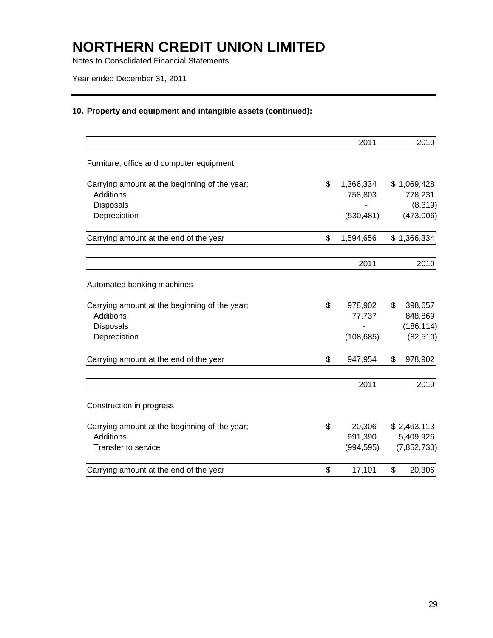Notes to Consolidated Financial Statements

Year ended December 31, 2011

### **10. Property and equipment and intangible assets (continued):**

|                                               | 2011            |             | 2010       |
|-----------------------------------------------|-----------------|-------------|------------|
| Furniture, office and computer equipment      |                 |             |            |
| Carrying amount at the beginning of the year; | \$<br>1,366,334 | \$1,069,428 |            |
| <b>Additions</b>                              | 758,803         |             | 778,231    |
| Disposals                                     |                 |             | (8, 319)   |
| Depreciation                                  | (530, 481)      |             | (473,006)  |
| Carrying amount at the end of the year        | \$<br>1,594,656 | \$1,366,334 |            |
|                                               | 2011            |             | 2010       |
| Automated banking machines                    |                 |             |            |
| Carrying amount at the beginning of the year; | \$<br>978,902   | \$          | 398,657    |
| Additions                                     | 77,737          |             | 848,869    |
| Disposals                                     |                 |             | (186, 114) |
| Depreciation                                  | (108, 685)      |             | (82, 510)  |
| Carrying amount at the end of the year        | \$<br>947,954   | \$          | 978,902    |
|                                               | 2011            |             | 2010       |
| Construction in progress                      |                 |             |            |
| Carrying amount at the beginning of the year; | \$<br>20,306    | \$2,463,113 |            |
| <b>Additions</b>                              | 991,390         | 5,409,926   |            |
| Transfer to service                           | (994, 595)      | (7,852,733) |            |
| Carrying amount at the end of the year        | \$<br>17,101    | \$          | 20,306     |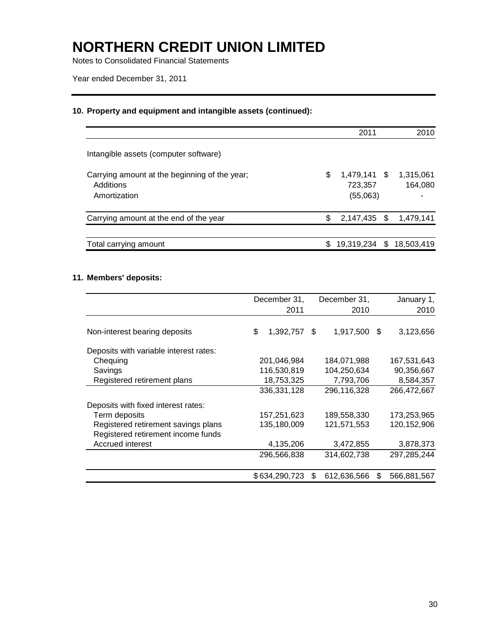Notes to Consolidated Financial Statements

Year ended December 31, 2011

### **10. Property and equipment and intangible assets (continued):**

|                                                                            |     | 2011                                | 2010                 |
|----------------------------------------------------------------------------|-----|-------------------------------------|----------------------|
| Intangible assets (computer software)                                      |     |                                     |                      |
| Carrying amount at the beginning of the year;<br>Additions<br>Amortization | S   | 1,479,141 \$<br>723,357<br>(55,063) | 1,315,061<br>164,080 |
| Carrying amount at the end of the year                                     | \$. | 2,147,435 \$                        | 1,479,141            |
| Total carrying amount                                                      | \$  | 19,319,234 \$ 18,503,419            |                      |

### **11. Members' deposits:**

|                                        | December 31,    |      | December 31, | January 1,        |
|----------------------------------------|-----------------|------|--------------|-------------------|
|                                        | 2011            |      | 2010         | 2010              |
| Non-interest bearing deposits          | \$<br>1,392,757 | - \$ | 1,917,500 \$ | 3,123,656         |
| Deposits with variable interest rates: |                 |      |              |                   |
| Chequing                               | 201,046,984     |      | 184,071,988  | 167,531,643       |
| Savings                                | 116,530,819     |      | 104,250,634  | 90,356,667        |
| Registered retirement plans            | 18,753,325      |      | 7,793,706    | 8,584,357         |
|                                        | 336,331,128     |      | 296,116,328  | 266,472,667       |
| Deposits with fixed interest rates:    |                 |      |              |                   |
| Term deposits                          | 157,251,623     |      | 189,558,330  | 173,253,965       |
| Registered retirement savings plans    | 135,180,009     |      | 121,571,553  | 120,152,906       |
| Registered retirement income funds     |                 |      |              |                   |
| Accrued interest                       | 4,135,206       |      | 3,472,855    | 3,878,373         |
|                                        | 296,566,838     |      | 314,602,738  | 297,285,244       |
|                                        | \$634,290,723   | \$.  | 612,636,566  | \$<br>566,881,567 |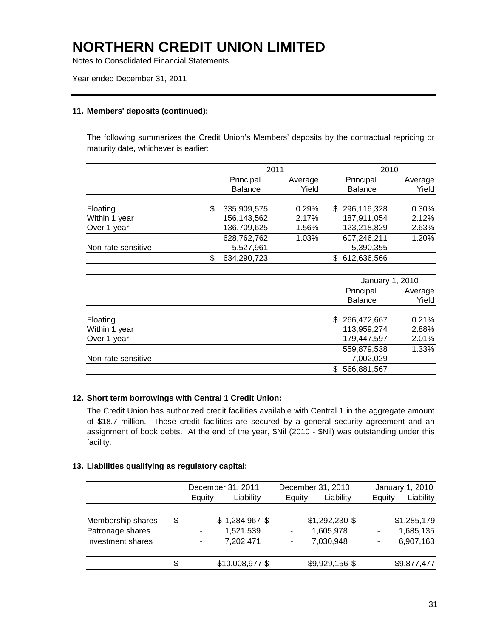Notes to Consolidated Financial Statements

Year ended December 31, 2011

#### **11. Members' deposits (continued):**

The following summarizes the Credit Union's Members' deposits by the contractual repricing or maturity date, whichever is earlier:

|                    | 2011              |         |     | 2010            |         |
|--------------------|-------------------|---------|-----|-----------------|---------|
|                    | Principal         | Average |     | Principal       | Average |
|                    | <b>Balance</b>    | Yield   |     | <b>Balance</b>  | Yield   |
|                    |                   |         |     |                 |         |
| Floating           | \$<br>335,909,575 | 0.29%   | \$. | 296,116,328     | 0.30%   |
| Within 1 year      | 156,143,562       | 2.17%   |     | 187,911,054     | 2.12%   |
| Over 1 year        | 136,709,625       | 1.56%   |     | 123,218,829     | 2.63%   |
|                    | 628,762,762       | 1.03%   |     | 607,246,211     | 1.20%   |
| Non-rate sensitive | 5,527,961         |         |     | 5,390,355       |         |
|                    | \$<br>634,290,723 |         |     | \$612,636,566   |         |
|                    |                   |         |     |                 |         |
|                    |                   |         |     | January 1, 2010 |         |
|                    |                   |         |     | Principal       | Average |
|                    |                   |         |     | <b>Balance</b>  | Yield   |
|                    |                   |         |     |                 |         |
| Floating           |                   |         | \$. | 266,472,667     | 0.21%   |
| Within 1 year      |                   |         |     | 113,959,274     | 2.88%   |
| Over 1 year        |                   |         |     | 179,447,597     | 2.01%   |
|                    |                   |         |     | 559,879,538     | 1.33%   |
| Non-rate sensitive |                   |         |     | 7,002,029       |         |
|                    |                   |         | \$. | 566,881,567     |         |

#### **12. Short term borrowings with Central 1 Credit Union:**

The Credit Union has authorized credit facilities available with Central 1 in the aggregate amount of \$18.7 million. These credit facilities are secured by a general security agreement and an assignment of book debts. At the end of the year, \$Nil (2010 - \$Nil) was outstanding under this facility.

#### **13. Liabilities qualifying as regulatory capital:**

|                                       |    |        | December 31, 2011            |        | December 31, 2010           |                                                      | January 1, 2010          |
|---------------------------------------|----|--------|------------------------------|--------|-----------------------------|------------------------------------------------------|--------------------------|
|                                       |    | Equity | Liability                    | Equity | Liability                   | Equity                                               | Liability                |
| Membership shares<br>Patronage shares | \$ |        | $$1,284,967$ \$<br>1,521,539 | ۰      | \$1,292,230 \$<br>1,605,978 | $\overline{\phantom{a}}$<br>$\overline{\phantom{a}}$ | \$1,285,179<br>1,685,135 |
| Investment shares                     |    |        | 7,202,471                    | -      | 7,030,948                   | $\overline{\phantom{a}}$                             | 6,907,163                |
|                                       | S  |        | \$10,008,977 \$              |        | \$9,929,156 \$              |                                                      | \$9,877,477              |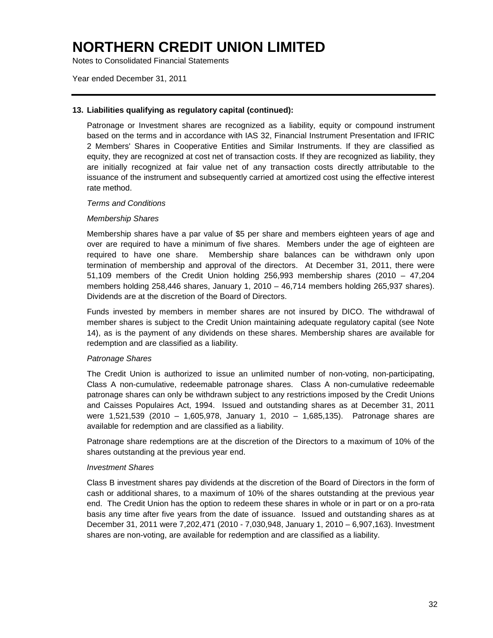Notes to Consolidated Financial Statements

Year ended December 31, 2011

#### **13. Liabilities qualifying as regulatory capital (continued):**

Patronage or Investment shares are recognized as a liability, equity or compound instrument based on the terms and in accordance with IAS 32, Financial Instrument Presentation and IFRIC 2 Members' Shares in Cooperative Entities and Similar Instruments. If they are classified as equity, they are recognized at cost net of transaction costs. If they are recognized as liability, they are initially recognized at fair value net of any transaction costs directly attributable to the issuance of the instrument and subsequently carried at amortized cost using the effective interest rate method.

#### *Terms and Conditions*

#### *Membership Shares*

Membership shares have a par value of \$5 per share and members eighteen years of age and over are required to have a minimum of five shares. Members under the age of eighteen are required to have one share. Membership share balances can be withdrawn only upon termination of membership and approval of the directors. At December 31, 2011, there were 51,109 members of the Credit Union holding 256,993 membership shares (2010 – 47,204 members holding 258,446 shares, January 1, 2010 – 46,714 members holding 265,937 shares). Dividends are at the discretion of the Board of Directors.

Funds invested by members in member shares are not insured by DICO. The withdrawal of member shares is subject to the Credit Union maintaining adequate regulatory capital (see Note 14), as is the payment of any dividends on these shares. Membership shares are available for redemption and are classified as a liability.

#### *Patronage Shares*

The Credit Union is authorized to issue an unlimited number of non-voting, non-participating, Class A non-cumulative, redeemable patronage shares. Class A non-cumulative redeemable patronage shares can only be withdrawn subject to any restrictions imposed by the Credit Unions and Caisses Populaires Act, 1994. Issued and outstanding shares as at December 31, 2011 were 1,521,539 (2010 – 1,605,978, January 1, 2010 – 1,685,135). Patronage shares are available for redemption and are classified as a liability.

Patronage share redemptions are at the discretion of the Directors to a maximum of 10% of the shares outstanding at the previous year end.

#### *Investment Shares*

Class B investment shares pay dividends at the discretion of the Board of Directors in the form of cash or additional shares, to a maximum of 10% of the shares outstanding at the previous year end. The Credit Union has the option to redeem these shares in whole or in part or on a pro-rata basis any time after five years from the date of issuance. Issued and outstanding shares as at December 31, 2011 were 7,202,471 (2010 - 7,030,948, January 1, 2010 – 6,907,163). Investment shares are non-voting, are available for redemption and are classified as a liability.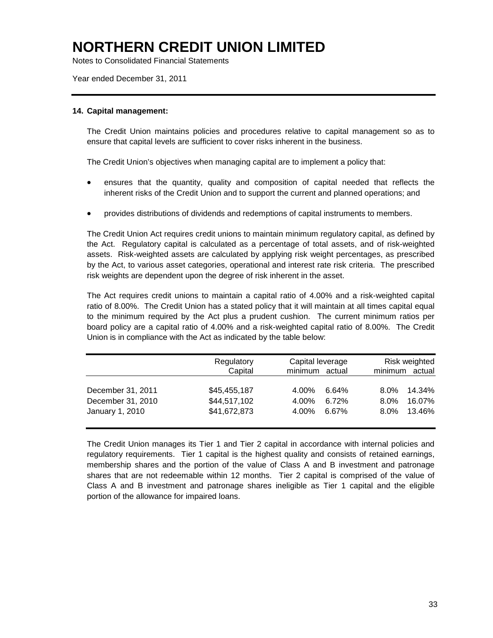Notes to Consolidated Financial Statements

Year ended December 31, 2011

#### **14. Capital management:**

The Credit Union maintains policies and procedures relative to capital management so as to ensure that capital levels are sufficient to cover risks inherent in the business.

The Credit Union's objectives when managing capital are to implement a policy that:

- ensures that the quantity, quality and composition of capital needed that reflects the inherent risks of the Credit Union and to support the current and planned operations; and
- provides distributions of dividends and redemptions of capital instruments to members.

The Credit Union Act requires credit unions to maintain minimum regulatory capital, as defined by the Act. Regulatory capital is calculated as a percentage of total assets, and of risk-weighted assets. Risk-weighted assets are calculated by applying risk weight percentages, as prescribed by the Act, to various asset categories, operational and interest rate risk criteria. The prescribed risk weights are dependent upon the degree of risk inherent in the asset.

The Act requires credit unions to maintain a capital ratio of 4.00% and a risk-weighted capital ratio of 8.00%. The Credit Union has a stated policy that it will maintain at all times capital equal to the minimum required by the Act plus a prudent cushion. The current minimum ratios per board policy are a capital ratio of 4.00% and a risk-weighted capital ratio of 8.00%. The Credit Union is in compliance with the Act as indicated by the table below:

|                                                           | Regulatory                                   | Capital leverage                                   | Risk weighted                                               |
|-----------------------------------------------------------|----------------------------------------------|----------------------------------------------------|-------------------------------------------------------------|
|                                                           | Capital                                      | minimum actual                                     | minimum actual                                              |
| December 31, 2011<br>December 31, 2010<br>January 1, 2010 | \$45,455,187<br>\$44,517,102<br>\$41,672,873 | 4.00%<br>6.64%<br>4.00%<br>6.72%<br>4.00%<br>6.67% | 14.34%<br>$8.0\%$<br>16.07%<br>$8.0\%$<br>13.46%<br>$8.0\%$ |

The Credit Union manages its Tier 1 and Tier 2 capital in accordance with internal policies and regulatory requirements. Tier 1 capital is the highest quality and consists of retained earnings, membership shares and the portion of the value of Class A and B investment and patronage shares that are not redeemable within 12 months. Tier 2 capital is comprised of the value of Class A and B investment and patronage shares ineligible as Tier 1 capital and the eligible portion of the allowance for impaired loans.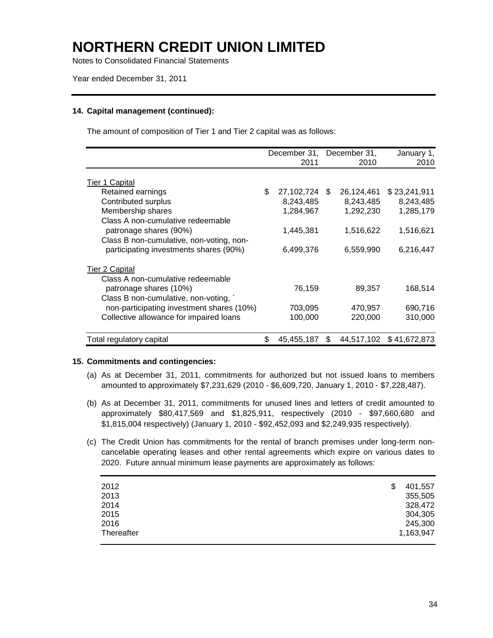Notes to Consolidated Financial Statements

Year ended December 31, 2011

#### **14. Capital management (continued):**

The amount of composition of Tier 1 and Tier 2 capital was as follows:

|                                           | December 31, December 31, |    |            | January 1,              |
|-------------------------------------------|---------------------------|----|------------|-------------------------|
|                                           | 2011                      |    | 2010       | 2010                    |
|                                           |                           |    |            |                         |
| Tier 1 Capital                            |                           |    |            |                         |
| Retained earnings                         | \$<br>27,102,724          | -S | 26,124,461 | \$23,241,911            |
| Contributed surplus                       | 8,243,485                 |    | 8,243,485  | 8,243,485               |
| Membership shares                         | 1,284,967                 |    | 1,292,230  | 1,285,179               |
| Class A non-cumulative redeemable         |                           |    |            |                         |
| patronage shares (90%)                    | 1,445,381                 |    | 1,516,622  | 1,516,621               |
| Class B non-cumulative, non-voting, non-  |                           |    |            |                         |
| participating investments shares (90%)    | 6,499,376                 |    | 6,559,990  | 6,216,447               |
| <b>Tier 2 Capital</b>                     |                           |    |            |                         |
| Class A non-cumulative redeemable         |                           |    |            |                         |
| patronage shares (10%)                    | 76,159                    |    | 89,357     | 168,514                 |
| Class B non-cumulative, non-voting,       |                           |    |            |                         |
| non-participating investment shares (10%) | 703,095                   |    | 470,957    | 690,716                 |
| Collective allowance for impaired loans   | 100,000                   |    | 220,000    | 310,000                 |
|                                           |                           |    |            |                         |
| Total regulatory capital                  | \$<br>45,455,187          | \$ |            | 44,517,102 \$41,672,873 |

#### **15. Commitments and contingencies:**

- (a) As at December 31, 2011, commitments for authorized but not issued loans to members amounted to approximately \$7,231,629 (2010 - \$6,609,720, January 1, 2010 - \$7,228,487).
- (b) As at December 31, 2011, commitments for unused lines and letters of credit amounted to approximately \$80,417,569 and \$1,825,911, respectively (2010 - \$97,660,680 and \$1,815,004 respectively) (January 1, 2010 - \$92,452,093 and \$2,249,935 respectively).
- (c) The Credit Union has commitments for the rental of branch premises under long-term noncancelable operating leases and other rental agreements which expire on various dates to 2020. Future annual minimum lease payments are approximately as follows:

| 2012       | \$<br>401,557 |
|------------|---------------|
| 2013       | 355,505       |
| 2014       | 328,472       |
| 2015       | 304,305       |
| 2016       | 245,300       |
| Thereafter | 1,163,947     |
|            |               |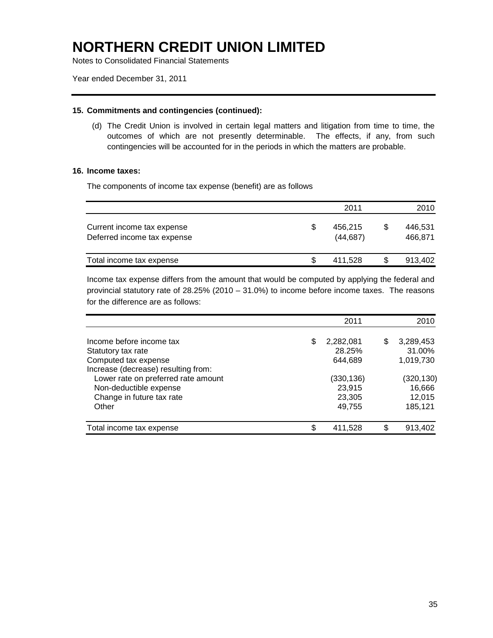Notes to Consolidated Financial Statements

Year ended December 31, 2011

#### **15. Commitments and contingencies (continued):**

(d) The Credit Union is involved in certain legal matters and litigation from time to time, the outcomes of which are not presently determinable. The effects, if any, from such contingencies will be accounted for in the periods in which the matters are probable.

#### **16. Income taxes:**

The components of income tax expense (benefit) are as follows

|                                                           |   | 2011                 |     | 2010               |
|-----------------------------------------------------------|---|----------------------|-----|--------------------|
| Current income tax expense<br>Deferred income tax expense | S | 456.215<br>(44, 687) | S   | 446.531<br>466,871 |
| Total income tax expense                                  | S | 411.528              | \$. | 913.402            |

Income tax expense differs from the amount that would be computed by applying the federal and provincial statutory rate of 28.25% (2010 – 31.0%) to income before income taxes. The reasons for the difference are as follows:

| 2011                      |                              | 2010                        |
|---------------------------|------------------------------|-----------------------------|
| \$<br>2,282,081<br>28.25% | \$                           | 3,289,453<br>31.00%         |
| (330,136)                 |                              | 1,019,730<br>(320, 130)     |
| 23,915<br>23,305          |                              | 16,666<br>12,015<br>185,121 |
|                           |                              | 913,402                     |
| \$                        | 644,689<br>49,755<br>411,528 | \$                          |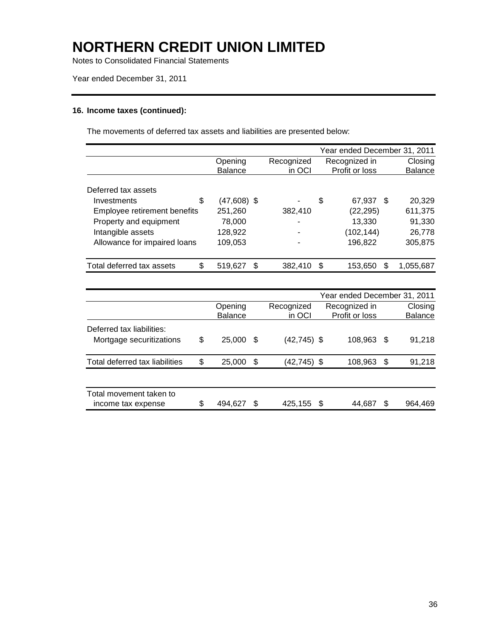Notes to Consolidated Financial Statements

Year ended December 31, 2011

#### **16. Income taxes (continued):**

The movements of deferred tax assets and liabilities are presented below:

|                              |                     |                   | Year ended December 31, 2011 |    |                |
|------------------------------|---------------------|-------------------|------------------------------|----|----------------|
|                              | Opening             | Recognized        | Recognized in                |    | Closing        |
|                              | <b>Balance</b>      | in OCI            | Profit or loss               |    | <b>Balance</b> |
|                              |                     |                   |                              |    |                |
| Deferred tax assets          |                     |                   |                              |    |                |
| Investments                  | \$<br>$(47,608)$ \$ |                   | \$<br>67,937                 | -S | 20,329         |
| Employee retirement benefits | 251,260             | 382,410           | (22, 295)                    |    | 611,375        |
| Property and equipment       | 78,000              |                   | 13,330                       |    | 91,330         |
| Intangible assets            | 128,922             |                   | (102, 144)                   |    | 26,778         |
| Allowance for impaired loans | 109,053             |                   | 196,822                      |    | 305,875        |
|                              |                     |                   |                              |    |                |
| Total deferred tax assets    | \$<br>519,627       | \$<br>382,410     | \$<br>153,650                | \$ | 1,055,687      |
|                              |                     |                   |                              |    |                |
|                              |                     |                   | Year ended December 31, 2011 |    |                |
|                              | Opening             | Recognized        | Recognized in                |    | Closing        |
|                              | <b>Balance</b>      | in OCI            | Profit or loss               |    | Balance        |
| Deferred tax liabilities:    |                     |                   |                              |    |                |
| Mortgage securitizations     | \$<br>25,000        | \$<br>(42,745) \$ | 108,963                      | S  | 91,218         |

| Total deferred tax liabilities | \$. | 25,000  | (42.745) \$ | 108,963 | 91.218  |
|--------------------------------|-----|---------|-------------|---------|---------|
|                                |     |         |             |         |         |
| Total movement taken to        |     |         |             |         |         |
| income tax expense             |     | 494.627 | 425,155 \$  | 44.687  | 964.469 |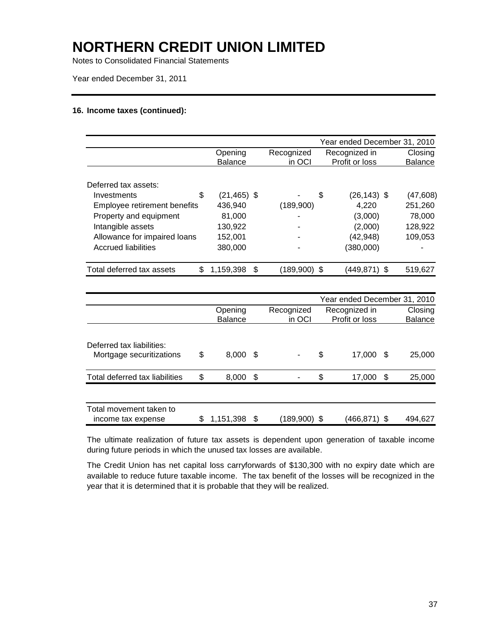Notes to Consolidated Financial Statements

Year ended December 31, 2011

#### **16. Income taxes (continued):**

|                                |                |   |              | Year ended December 31, 2010 |                |
|--------------------------------|----------------|---|--------------|------------------------------|----------------|
|                                | Opening        |   | Recognized   | Recognized in                | Closing        |
|                                | <b>Balance</b> |   | in OCI       | Profit or loss               | <b>Balance</b> |
| Deferred tax assets:           |                |   |              |                              |                |
| \$<br>Investments              | $(21, 465)$ \$ |   |              | \$<br>$(26, 143)$ \$         | (47, 608)      |
| Employee retirement benefits   | 436.940        |   | (189,900)    | 4.220                        | 251,260        |
| Property and equipment         | 81,000         |   |              | (3,000)                      | 78,000         |
| Intangible assets              | 130,922        |   |              | (2,000)                      | 128,922        |
| Allowance for impaired loans   | 152.001        |   |              | (42, 948)                    | 109,053        |
| Accrued liabilities            | 380,000        |   |              | (380,000)                    |                |
| Total deferred tax assets<br>S | 1,159,398      | S | (189,900) \$ | (449,871)<br>\$.             | 519,627        |

|                                                       |    |                           |      |                      | Year ended December 31, 2010    |      |                           |
|-------------------------------------------------------|----|---------------------------|------|----------------------|---------------------------------|------|---------------------------|
|                                                       |    | Opening<br><b>Balance</b> |      | Recognized<br>in OCI | Recognized in<br>Profit or loss |      | Closing<br><b>Balance</b> |
|                                                       |    |                           |      |                      |                                 |      |                           |
| Deferred tax liabilities:<br>Mortgage securitizations | \$ | $8,000$ \$                |      |                      | \$<br>17,000                    | - \$ | 25,000                    |
| Total deferred tax liabilities                        | \$ | 8,000                     | - \$ |                      | \$<br>17,000                    | - \$ | 25,000                    |
| Total movement taken to<br>income tax expense         | S  | 1,151,398 \$              |      | (189,900) \$         | (466,871) \$                    |      | 494.627                   |

The ultimate realization of future tax assets is dependent upon generation of taxable income during future periods in which the unused tax losses are available.

The Credit Union has net capital loss carryforwards of \$130,300 with no expiry date which are available to reduce future taxable income. The tax benefit of the losses will be recognized in the year that it is determined that it is probable that they will be realized.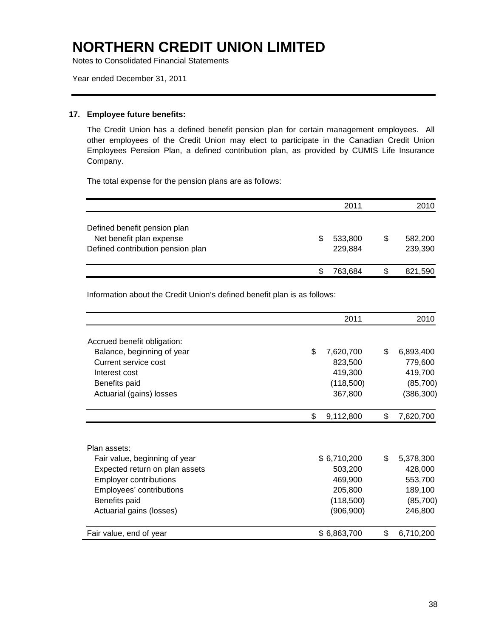Notes to Consolidated Financial Statements

Year ended December 31, 2011

#### **17. Employee future benefits:**

The Credit Union has a defined benefit pension plan for certain management employees. All other employees of the Credit Union may elect to participate in the Canadian Credit Union Employees Pension Plan, a defined contribution plan, as provided by CUMIS Life Insurance Company.

The total expense for the pension plans are as follows:

|                                                          |   | 2011               |     | 2010               |
|----------------------------------------------------------|---|--------------------|-----|--------------------|
| Defined benefit pension plan<br>Net benefit plan expense | S | 533,800            | \$. | 582,200            |
| Defined contribution pension plan                        |   | 229,884<br>763,684 |     | 239,390<br>821,590 |

Information about the Credit Union's defined benefit plan is as follows:

|                                                                 | 2011               | 2010               |
|-----------------------------------------------------------------|--------------------|--------------------|
| Accrued benefit obligation:                                     |                    |                    |
| Balance, beginning of year                                      | \$.<br>7,620,700   | \$<br>6,893,400    |
| Current service cost                                            | 823,500            | 779,600            |
| Interest cost                                                   | 419,300            | 419,700            |
| Benefits paid                                                   | (118,500)          | (85,700)           |
| Actuarial (gains) losses                                        | 367,800            | (386, 300)         |
|                                                                 | \$<br>9,112,800    | \$<br>7,620,700    |
|                                                                 |                    |                    |
| Plan assets:                                                    |                    |                    |
| Fair value, beginning of year                                   | \$6,710,200        | \$<br>5,378,300    |
| Expected return on plan assets<br><b>Employer contributions</b> | 503,200<br>469,900 | 428,000<br>553,700 |
| Employees' contributions                                        | 205,800            | 189,100            |
| Benefits paid                                                   | (118,500)          | (85, 700)          |
| Actuarial gains (losses)                                        | (906, 900)         | 246,800            |
| Fair value, end of year                                         | \$6,863,700        | \$<br>6,710,200    |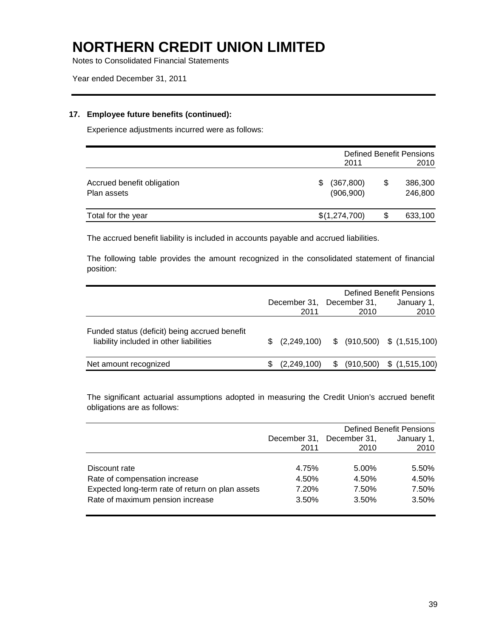Notes to Consolidated Financial Statements

Year ended December 31, 2011

#### **17. Employee future benefits (continued):**

Experience adjustments incurred were as follows:

|                                           |                                | <b>Defined Benefit Pensions</b> |                    |  |  |  |
|-------------------------------------------|--------------------------------|---------------------------------|--------------------|--|--|--|
|                                           | 2011                           |                                 | 2010               |  |  |  |
| Accrued benefit obligation<br>Plan assets | (367, 800)<br>\$<br>(906, 900) | \$                              | 386,300<br>246,800 |  |  |  |
| Total for the year                        | \$(1,274,700)                  | \$                              | 633,100            |  |  |  |

The accrued benefit liability is included in accounts payable and accrued liabilities.

The following table provides the amount recognized in the consolidated statement of financial position:

|                                                                                          |     | December 31,<br>2011 | Defined Benefit Pensions<br>December 31.<br>January 1,<br>2010<br>2010 |  |                                               |
|------------------------------------------------------------------------------------------|-----|----------------------|------------------------------------------------------------------------|--|-----------------------------------------------|
| Funded status (deficit) being accrued benefit<br>liability included in other liabilities | \$. |                      |                                                                        |  | $(2,249,100)$ \$ $(910,500)$ \$ $(1,515,100)$ |
| Net amount recognized                                                                    |     | (2,249,100)          | S.                                                                     |  | $(910,500)$ \$ $(1,515,100)$                  |

The significant actuarial assumptions adopted in measuring the Credit Union's accrued benefit obligations are as follows:

|                                                  |              | <b>Defined Benefit Pensions</b> |            |  |
|--------------------------------------------------|--------------|---------------------------------|------------|--|
|                                                  | December 31, | December 31,                    | January 1, |  |
|                                                  | 2011         | 2010                            | 2010       |  |
|                                                  |              |                                 |            |  |
| Discount rate                                    | 4.75%        | 5.00%                           | 5.50%      |  |
| Rate of compensation increase                    | 4.50%        | 4.50%                           | 4.50%      |  |
| Expected long-term rate of return on plan assets | 7.20%        | 7.50%                           | 7.50%      |  |
| Rate of maximum pension increase                 | 3.50%        | 3.50%                           | 3.50%      |  |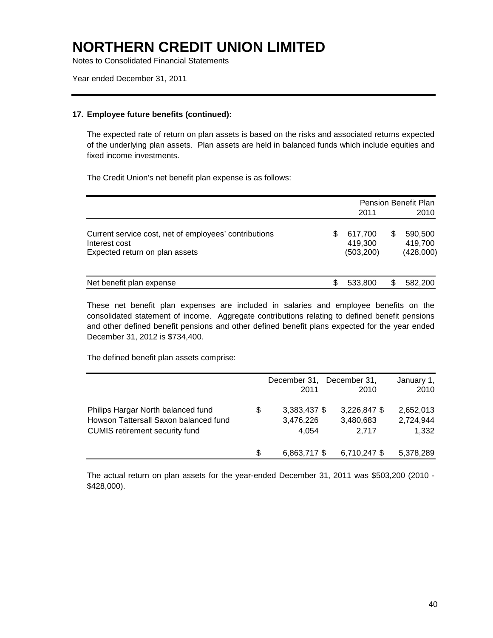Notes to Consolidated Financial Statements

Year ended December 31, 2011

#### **17. Employee future benefits (continued):**

The expected rate of return on plan assets is based on the risks and associated returns expected of the underlying plan assets. Plan assets are held in balanced funds which include equities and fixed income investments.

The Credit Union's net benefit plan expense is as follows:

|                                                                                                          |   | 2011                             | Pension Benefit Plan<br>2010          |
|----------------------------------------------------------------------------------------------------------|---|----------------------------------|---------------------------------------|
| Current service cost, net of employees' contributions<br>Interest cost<br>Expected return on plan assets | S | 617,700<br>419,300<br>(503, 200) | \$<br>590,500<br>419,700<br>(428,000) |
| Net benefit plan expense                                                                                 |   | 533,800                          | 582,200                               |

These net benefit plan expenses are included in salaries and employee benefits on the consolidated statement of income. Aggregate contributions relating to defined benefit pensions and other defined benefit pensions and other defined benefit plans expected for the year ended December 31, 2012 is \$734,400.

The defined benefit plan assets comprise:

|                                                                                                                      |    | December 31,<br>2011               | December 31,<br>2010               | January 1,<br>2010              |
|----------------------------------------------------------------------------------------------------------------------|----|------------------------------------|------------------------------------|---------------------------------|
| Philips Hargar North balanced fund<br>Howson Tattersall Saxon balanced fund<br><b>CUMIS</b> retirement security fund | \$ | 3,383,437 \$<br>3,476,226<br>4.054 | 3,226,847 \$<br>3,480,683<br>2.717 | 2,652,013<br>2,724,944<br>1,332 |
|                                                                                                                      | S  | 6,863,717 \$                       | 6,710,247 \$                       | 5,378,289                       |

The actual return on plan assets for the year-ended December 31, 2011 was \$503,200 (2010 - \$428,000).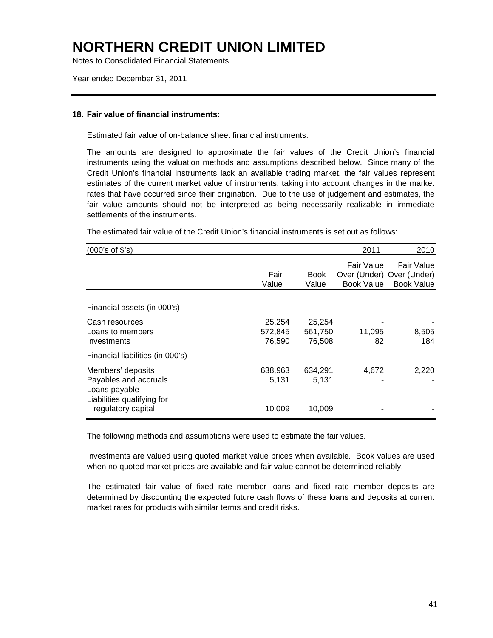Notes to Consolidated Financial Statements

Year ended December 31, 2011

#### **18. Fair value of financial instruments:**

Estimated fair value of on-balance sheet financial instruments:

The amounts are designed to approximate the fair values of the Credit Union's financial instruments using the valuation methods and assumptions described below. Since many of the Credit Union's financial instruments lack an available trading market, the fair values represent estimates of the current market value of instruments, taking into account changes in the market rates that have occurred since their origination. Due to the use of judgement and estimates, the fair value amounts should not be interpreted as being necessarily realizable in immediate settlements of the instruments.

The estimated fair value of the Credit Union's financial instruments is set out as follows:

| (000's of \$'s)                                                                                                 |                             |                             | 2011                            | 2010                                                         |
|-----------------------------------------------------------------------------------------------------------------|-----------------------------|-----------------------------|---------------------------------|--------------------------------------------------------------|
|                                                                                                                 | Fair<br>Value               | <b>Book</b><br>Value        | Fair Value<br><b>Book Value</b> | Fair Value<br>Over (Under) Over (Under)<br><b>Book Value</b> |
| Financial assets (in 000's)                                                                                     |                             |                             |                                 |                                                              |
| Cash resources<br>Loans to members<br>Investments                                                               | 25,254<br>572,845<br>76,590 | 25,254<br>561,750<br>76,508 | 11,095<br>82                    | 8,505<br>184                                                 |
| Financial liabilities (in 000's)                                                                                |                             |                             |                                 |                                                              |
| Members' deposits<br>Payables and accruals<br>Loans payable<br>Liabilities qualifying for<br>regulatory capital | 638,963<br>5,131<br>10,009  | 634,291<br>5,131<br>10,009  | 4,672                           | 2,220                                                        |

The following methods and assumptions were used to estimate the fair values.

Investments are valued using quoted market value prices when available. Book values are used when no quoted market prices are available and fair value cannot be determined reliably.

The estimated fair value of fixed rate member loans and fixed rate member deposits are determined by discounting the expected future cash flows of these loans and deposits at current market rates for products with similar terms and credit risks.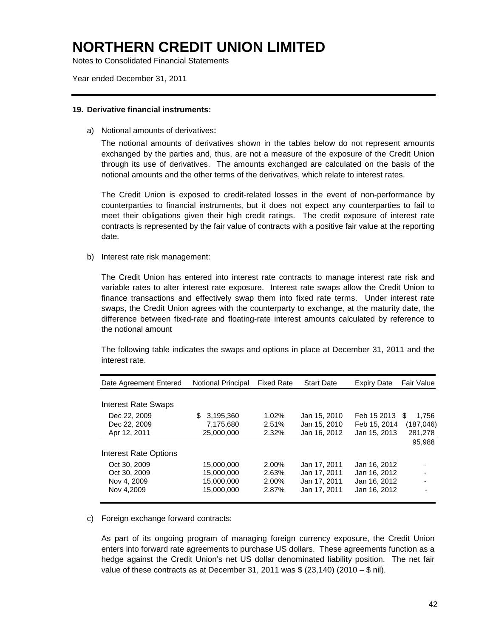Notes to Consolidated Financial Statements

Year ended December 31, 2011

#### **19. Derivative financial instruments:**

a) Notional amounts of derivatives:

The notional amounts of derivatives shown in the tables below do not represent amounts exchanged by the parties and, thus, are not a measure of the exposure of the Credit Union through its use of derivatives. The amounts exchanged are calculated on the basis of the notional amounts and the other terms of the derivatives, which relate to interest rates.

The Credit Union is exposed to credit-related losses in the event of non-performance by counterparties to financial instruments, but it does not expect any counterparties to fail to meet their obligations given their high credit ratings. The credit exposure of interest rate contracts is represented by the fair value of contracts with a positive fair value at the reporting date.

b) Interest rate risk management:

The Credit Union has entered into interest rate contracts to manage interest rate risk and variable rates to alter interest rate exposure. Interest rate swaps allow the Credit Union to finance transactions and effectively swap them into fixed rate terms. Under interest rate swaps, the Credit Union agrees with the counterparty to exchange, at the maturity date, the difference between fixed-rate and floating-rate interest amounts calculated by reference to the notional amount

The following table indicates the swaps and options in place at December 31, 2011 and the interest rate.

| Date Agreement Entered     | Notional Principal | <b>Fixed Rate</b> | <b>Start Date</b> | <b>Expiry Date</b> | <b>Fair Value</b> |
|----------------------------|--------------------|-------------------|-------------------|--------------------|-------------------|
|                            |                    |                   |                   |                    |                   |
| <b>Interest Rate Swaps</b> |                    |                   |                   |                    |                   |
| Dec 22, 2009               | 3,195,360<br>S.    | 1.02%             | Jan 15, 2010      | Feb 15 2013        | 1.756<br>\$.      |
| Dec 22, 2009               | 7.175.680          | 2.51%             | Jan 15, 2010      | Feb 15, 2014       | (187, 046)        |
| Apr 12, 2011               | 25,000,000         | 2.32%             | Jan 16, 2012      | Jan 15, 2013       | 281,278           |
|                            |                    |                   |                   |                    | 95,988            |
| Interest Rate Options      |                    |                   |                   |                    |                   |
| Oct 30, 2009               | 15.000.000         | 2.00%             | Jan 17, 2011      | Jan 16, 2012       |                   |
| Oct 30, 2009               | 15.000.000         | 2.63%             | Jan 17, 2011      | Jan 16, 2012       |                   |
| Nov 4, 2009                | 15.000.000         | 2.00%             | Jan 17, 2011      | Jan 16, 2012       |                   |
| Nov 4,2009                 | 15,000,000         | 2.87%             | Jan 17, 2011      | Jan 16, 2012       |                   |
|                            |                    |                   |                   |                    |                   |

#### c) Foreign exchange forward contracts:

As part of its ongoing program of managing foreign currency exposure, the Credit Union enters into forward rate agreements to purchase US dollars. These agreements function as a hedge against the Credit Union's net US dollar denominated liability position. The net fair value of these contracts as at December 31, 2011 was  $$ (23,140) (2010 - $$  nil).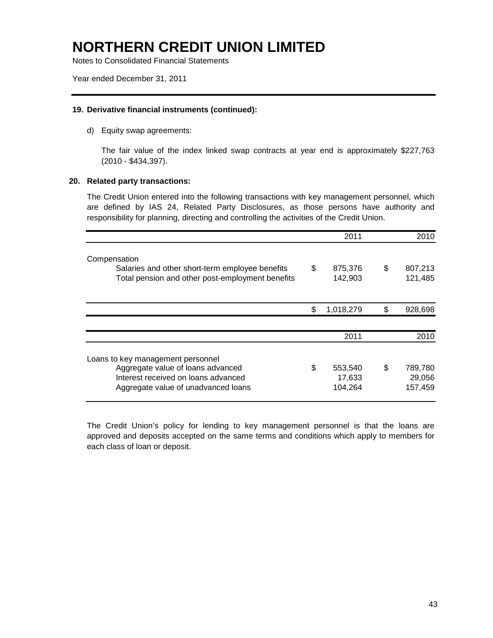Notes to Consolidated Financial Statements

Year ended December 31, 2011

#### **19. Derivative financial instruments (continued):**

d) Equity swap agreements:

The fair value of the index linked swap contracts at year end is approximately \$227,763 (2010 - \$434,397).

#### **20. Related party transactions:**

The Credit Union entered into the following transactions with key management personnel, which are defined by IAS 24, Related Party Disclosures, as those persons have authority and responsibility for planning, directing and controlling the activities of the Credit Union.

|                                                                                                                                                      | 2011                               | 2010                               |
|------------------------------------------------------------------------------------------------------------------------------------------------------|------------------------------------|------------------------------------|
| Compensation<br>Salaries and other short-term employee benefits<br>Total pension and other post-employment benefits                                  | \$<br>875,376<br>142,903           | \$<br>807,213<br>121,485           |
|                                                                                                                                                      | \$<br>1,018,279                    | \$<br>928,698                      |
|                                                                                                                                                      | 2011                               | 2010                               |
| Loans to key management personnel<br>Aggregate value of loans advanced<br>Interest received on loans advanced<br>Aggregate value of unadvanced loans | \$<br>553,540<br>17,633<br>104,264 | \$<br>789,780<br>29,056<br>157,459 |

The Credit Union's policy for lending to key management personnel is that the loans are approved and deposits accepted on the same terms and conditions which apply to members for each class of loan or deposit.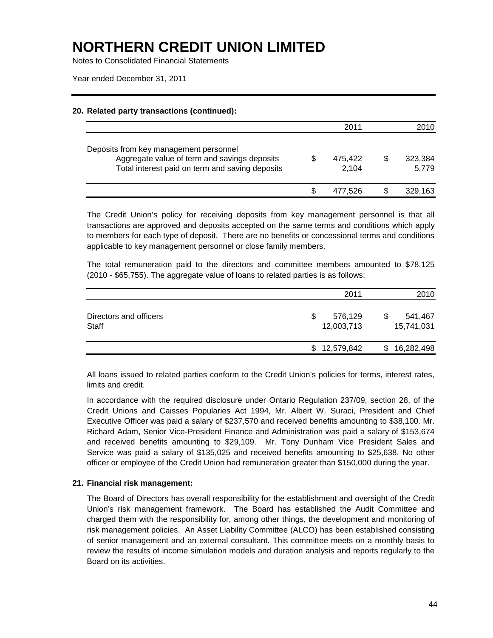Notes to Consolidated Financial Statements

Year ended December 31, 2011

#### **20. Related party transactions (continued):**

|                                                                                                                                           | 2011             | 2010             |
|-------------------------------------------------------------------------------------------------------------------------------------------|------------------|------------------|
| Deposits from key management personnel<br>Aggregate value of term and savings deposits<br>Total interest paid on term and saving deposits | 475.422<br>2.104 | 323,384<br>5.779 |
|                                                                                                                                           | 477.526          | 329,163          |

The Credit Union's policy for receiving deposits from key management personnel is that all transactions are approved and deposits accepted on the same terms and conditions which apply to members for each type of deposit. There are no benefits or concessional terms and conditions applicable to key management personnel or close family members.

The total remuneration paid to the directors and committee members amounted to \$78,125 (2010 - \$65,755). The aggregate value of loans to related parties is as follows:

|                                 | 2011                       | 2010                  |
|---------------------------------|----------------------------|-----------------------|
| Directors and officers<br>Staff | S<br>576,129<br>12,003,713 | 541,467<br>15,741,031 |
|                                 | \$12,579,842               | 16,282,498<br>SS.     |

All loans issued to related parties conform to the Credit Union's policies for terms, interest rates, limits and credit.

In accordance with the required disclosure under Ontario Regulation 237/09, section 28, of the Credit Unions and Caisses Popularies Act 1994, Mr. Albert W. Suraci, President and Chief Executive Officer was paid a salary of \$237,570 and received benefits amounting to \$38,100. Mr. Richard Adam, Senior Vice-President Finance and Administration was paid a salary of \$153,674 and received benefits amounting to \$29,109. Mr. Tony Dunham Vice President Sales and Service was paid a salary of \$135,025 and received benefits amounting to \$25,638. No other officer or employee of the Credit Union had remuneration greater than \$150,000 during the year.

### **21. Financial risk management:**

The Board of Directors has overall responsibility for the establishment and oversight of the Credit Union's risk management framework. The Board has established the Audit Committee and charged them with the responsibility for, among other things, the development and monitoring of risk management policies. An Asset Liability Committee (ALCO) has been established consisting of senior management and an external consultant. This committee meets on a monthly basis to review the results of income simulation models and duration analysis and reports regularly to the Board on its activities.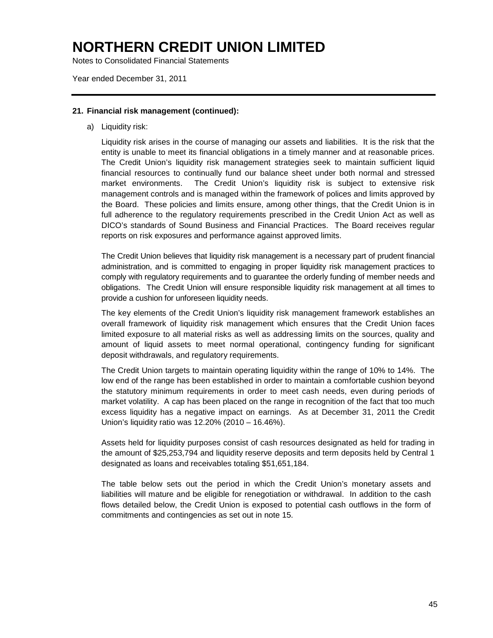Notes to Consolidated Financial Statements

Year ended December 31, 2011

#### **21. Financial risk management (continued):**

a) Liquidity risk:

Liquidity risk arises in the course of managing our assets and liabilities. It is the risk that the entity is unable to meet its financial obligations in a timely manner and at reasonable prices. The Credit Union's liquidity risk management strategies seek to maintain sufficient liquid financial resources to continually fund our balance sheet under both normal and stressed market environments. The Credit Union's liquidity risk is subject to extensive risk management controls and is managed within the framework of polices and limits approved by the Board. These policies and limits ensure, among other things, that the Credit Union is in full adherence to the regulatory requirements prescribed in the Credit Union Act as well as DICO's standards of Sound Business and Financial Practices. The Board receives regular reports on risk exposures and performance against approved limits.

The Credit Union believes that liquidity risk management is a necessary part of prudent financial administration, and is committed to engaging in proper liquidity risk management practices to comply with regulatory requirements and to guarantee the orderly funding of member needs and obligations. The Credit Union will ensure responsible liquidity risk management at all times to provide a cushion for unforeseen liquidity needs.

The key elements of the Credit Union's liquidity risk management framework establishes an overall framework of liquidity risk management which ensures that the Credit Union faces limited exposure to all material risks as well as addressing limits on the sources, quality and amount of liquid assets to meet normal operational, contingency funding for significant deposit withdrawals, and regulatory requirements.

The Credit Union targets to maintain operating liquidity within the range of 10% to 14%. The low end of the range has been established in order to maintain a comfortable cushion beyond the statutory minimum requirements in order to meet cash needs, even during periods of market volatility. A cap has been placed on the range in recognition of the fact that too much excess liquidity has a negative impact on earnings. As at December 31, 2011 the Credit Union's liquidity ratio was 12.20% (2010 – 16.46%).

Assets held for liquidity purposes consist of cash resources designated as held for trading in the amount of \$25,253,794 and liquidity reserve deposits and term deposits held by Central 1 designated as loans and receivables totaling \$51,651,184.

The table below sets out the period in which the Credit Union's monetary assets and liabilities will mature and be eligible for renegotiation or withdrawal. In addition to the cash flows detailed below, the Credit Union is exposed to potential cash outflows in the form of commitments and contingencies as set out in note 15.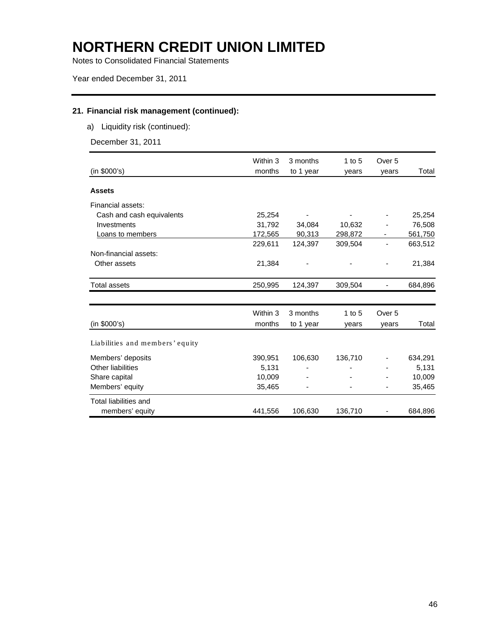Notes to Consolidated Financial Statements

Year ended December 31, 2011

### **21. Financial risk management (continued):**

a) Liquidity risk (continued):

December 31, 2011

|                                 | Within 3 | 3 months  | 1 to $5$ | Over 5            |         |
|---------------------------------|----------|-----------|----------|-------------------|---------|
| (in \$000's)                    | months   | to 1 year | years    | years             | Total   |
| <b>Assets</b>                   |          |           |          |                   |         |
| Financial assets:               |          |           |          |                   |         |
| Cash and cash equivalents       | 25,254   |           |          |                   | 25,254  |
| Investments                     | 31,792   | 34,084    | 10,632   |                   | 76,508  |
| Loans to members                | 172,565  | 90,313    | 298,872  |                   | 561,750 |
|                                 | 229,611  | 124,397   | 309,504  |                   | 663,512 |
| Non-financial assets:           |          |           |          |                   |         |
| Other assets                    | 21,384   |           |          |                   | 21,384  |
| <b>Total assets</b>             | 250,995  | 124,397   | 309,504  |                   | 684,896 |
|                                 |          |           |          |                   |         |
|                                 | Within 3 | 3 months  | 1 to $5$ | Over <sub>5</sub> |         |
| (in \$000's)                    | months   | to 1 year | years    | years             | Total   |
| Liabilities and members' equity |          |           |          |                   |         |
| Members' deposits               | 390,951  | 106,630   | 136,710  |                   | 634,291 |
| Other liabilities               | 5,131    |           |          |                   | 5,131   |
| Share capital                   | 10,009   |           |          |                   | 10,009  |
| Members' equity                 | 35,465   |           |          |                   | 35,465  |
| Total liabilities and           |          |           |          |                   |         |
| members' equity                 | 441,556  | 106,630   | 136,710  |                   | 684,896 |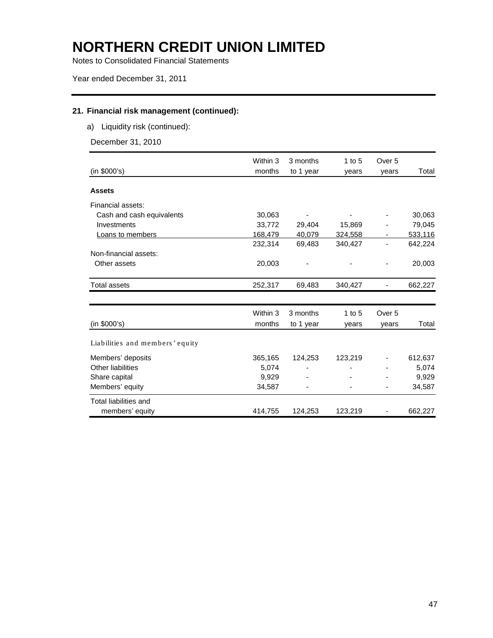Notes to Consolidated Financial Statements

Year ended December 31, 2011

### **21. Financial risk management (continued):**

a) Liquidity risk (continued):

December 31, 2010

|                                 | Within 3 | 3 months  | 1 to $5$   | Over 5            |         |
|---------------------------------|----------|-----------|------------|-------------------|---------|
| (in \$000's)                    | months   | to 1 year | years      | years             | Total   |
| <b>Assets</b>                   |          |           |            |                   |         |
| Financial assets:               |          |           |            |                   |         |
| Cash and cash equivalents       | 30,063   |           |            |                   | 30,063  |
| Investments                     | 33,772   | 29,404    | 15,869     |                   | 79,045  |
| Loans to members                | 168,479  | 40,079    | 324,558    | ۰                 | 533,116 |
|                                 | 232,314  | 69,483    | 340,427    |                   | 642,224 |
| Non-financial assets:           |          |           |            |                   |         |
| Other assets                    | 20,003   |           |            |                   | 20,003  |
| <b>Total assets</b>             | 252,317  | 69,483    | 340,427    |                   | 662,227 |
|                                 |          |           |            |                   |         |
|                                 | Within 3 | 3 months  | $1$ to $5$ | Over <sub>5</sub> |         |
| (in \$000's)                    | months   | to 1 year | years      | years             | Total   |
| Liabilities and members' equity |          |           |            |                   |         |
| Members' deposits               | 365,165  | 124,253   | 123,219    |                   | 612,637 |
| Other liabilities               | 5,074    |           |            |                   | 5,074   |
| Share capital                   | 9,929    |           |            |                   | 9,929   |
| Members' equity                 | 34,587   |           |            |                   | 34,587  |
| Total liabilities and           |          |           |            |                   |         |
| members' equity                 | 414,755  | 124,253   | 123,219    |                   | 662,227 |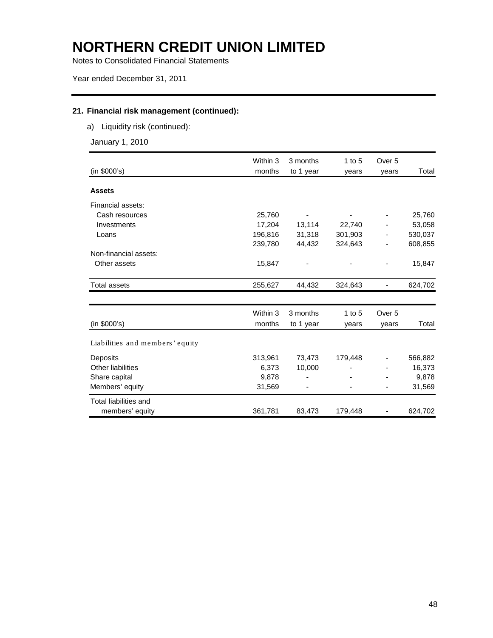Notes to Consolidated Financial Statements

Year ended December 31, 2011

### **21. Financial risk management (continued):**

a) Liquidity risk (continued):

January 1, 2010

|                                 | Within 3 | 3 months  | 1 to 5   | Over 5            |         |
|---------------------------------|----------|-----------|----------|-------------------|---------|
| (in \$000's)                    | months   | to 1 year | years    | years             | Total   |
| <b>Assets</b>                   |          |           |          |                   |         |
| Financial assets:               |          |           |          |                   |         |
| Cash resources                  | 25,760   |           |          |                   | 25,760  |
| Investments                     | 17,204   | 13,114    | 22,740   |                   | 53,058  |
| Loans                           | 196,816  | 31,318    | 301,903  | ۰                 | 530,037 |
|                                 | 239,780  | 44,432    | 324,643  |                   | 608,855 |
| Non-financial assets:           |          |           |          |                   |         |
| Other assets                    | 15,847   |           |          |                   | 15,847  |
| <b>Total assets</b>             | 255,627  | 44,432    | 324,643  |                   | 624,702 |
|                                 |          |           |          |                   |         |
|                                 | Within 3 | 3 months  | 1 to $5$ | Over <sub>5</sub> |         |
| (in \$000's)                    | months   | to 1 year | years    | years             | Total   |
| Liabilities and members' equity |          |           |          |                   |         |
| Deposits                        | 313,961  | 73,473    | 179,448  |                   | 566,882 |
| <b>Other liabilities</b>        | 6,373    | 10,000    |          |                   | 16,373  |
| Share capital                   | 9,878    |           |          |                   | 9,878   |
| Members' equity                 | 31,569   |           |          | -                 | 31,569  |
| <b>Total liabilities and</b>    |          |           |          |                   |         |
| members' equity                 | 361,781  | 83,473    | 179,448  |                   | 624,702 |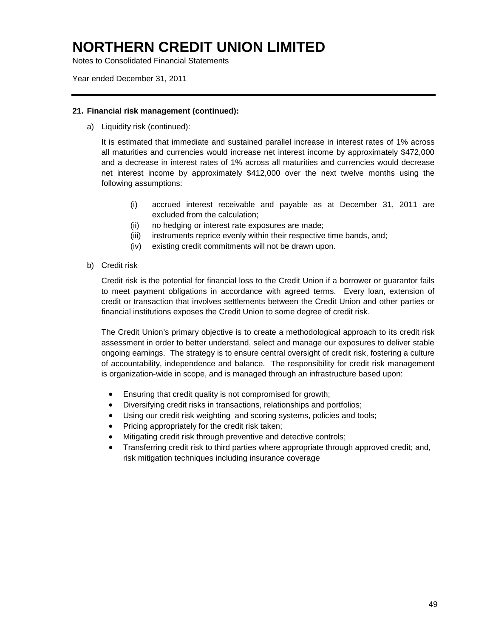Notes to Consolidated Financial Statements

Year ended December 31, 2011

#### **21. Financial risk management (continued):**

a) Liquidity risk (continued):

It is estimated that immediate and sustained parallel increase in interest rates of 1% across all maturities and currencies would increase net interest income by approximately \$472,000 and a decrease in interest rates of 1% across all maturities and currencies would decrease net interest income by approximately \$412,000 over the next twelve months using the following assumptions:

- (i) accrued interest receivable and payable as at December 31, 2011 are excluded from the calculation;
- (ii) no hedging or interest rate exposures are made;
- (iii) instruments reprice evenly within their respective time bands, and;
- (iv) existing credit commitments will not be drawn upon.
- b) Credit risk

Credit risk is the potential for financial loss to the Credit Union if a borrower or guarantor fails to meet payment obligations in accordance with agreed terms. Every loan, extension of credit or transaction that involves settlements between the Credit Union and other parties or financial institutions exposes the Credit Union to some degree of credit risk.

The Credit Union's primary objective is to create a methodological approach to its credit risk assessment in order to better understand, select and manage our exposures to deliver stable ongoing earnings. The strategy is to ensure central oversight of credit risk, fostering a culture of accountability, independence and balance. The responsibility for credit risk management is organization-wide in scope, and is managed through an infrastructure based upon:

- Ensuring that credit quality is not compromised for growth;
- Diversifying credit risks in transactions, relationships and portfolios;
- Using our credit risk weighting and scoring systems, policies and tools;
- Pricing appropriately for the credit risk taken;
- Mitigating credit risk through preventive and detective controls;
- Transferring credit risk to third parties where appropriate through approved credit; and, risk mitigation techniques including insurance coverage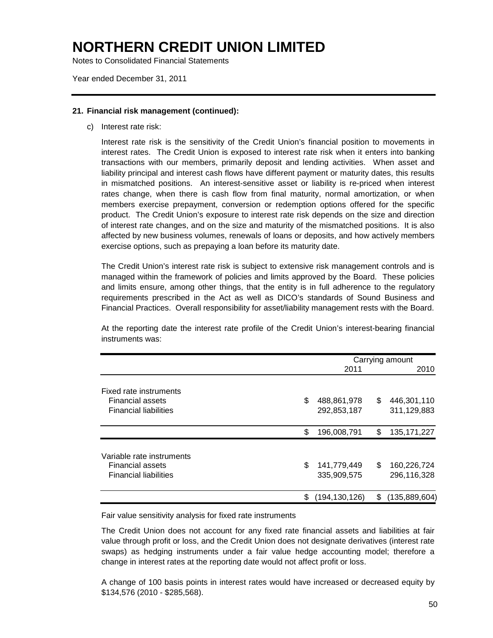Notes to Consolidated Financial Statements

Year ended December 31, 2011

#### **21. Financial risk management (continued):**

c) Interest rate risk:

Interest rate risk is the sensitivity of the Credit Union's financial position to movements in interest rates. The Credit Union is exposed to interest rate risk when it enters into banking transactions with our members, primarily deposit and lending activities. When asset and liability principal and interest cash flows have different payment or maturity dates, this results in mismatched positions. An interest-sensitive asset or liability is re-priced when interest rates change, when there is cash flow from final maturity, normal amortization, or when members exercise prepayment, conversion or redemption options offered for the specific product. The Credit Union's exposure to interest rate risk depends on the size and direction of interest rate changes, and on the size and maturity of the mismatched positions. It is also affected by new business volumes, renewals of loans or deposits, and how actively members exercise options, such as prepaying a loan before its maturity date.

The Credit Union's interest rate risk is subject to extensive risk management controls and is managed within the framework of policies and limits approved by the Board. These policies and limits ensure, among other things, that the entity is in full adherence to the regulatory requirements prescribed in the Act as well as DICO's standards of Sound Business and Financial Practices. Overall responsibility for asset/liability management rests with the Board.

At the reporting date the interest rate profile of the Credit Union's interest-bearing financial instruments was:

|                                                                                      |    | Carrying amount            |    |                            |  |
|--------------------------------------------------------------------------------------|----|----------------------------|----|----------------------------|--|
|                                                                                      |    | 2011                       |    | 2010                       |  |
| Fixed rate instruments<br><b>Financial assets</b><br><b>Financial liabilities</b>    | \$ | 488,861,978<br>292,853,187 | \$ | 446,301,110<br>311,129,883 |  |
|                                                                                      | \$ | 196,008,791                | \$ | 135, 171, 227              |  |
| Variable rate instruments<br><b>Financial assets</b><br><b>Financial liabilities</b> | \$ | 141,779,449<br>335,909,575 | \$ | 160,226,724<br>296,116,328 |  |
|                                                                                      | S  | (194, 130, 126)            | S  | (135, 889, 604)            |  |

Fair value sensitivity analysis for fixed rate instruments

The Credit Union does not account for any fixed rate financial assets and liabilities at fair value through profit or loss, and the Credit Union does not designate derivatives (interest rate swaps) as hedging instruments under a fair value hedge accounting model; therefore a change in interest rates at the reporting date would not affect profit or loss.

A change of 100 basis points in interest rates would have increased or decreased equity by \$134,576 (2010 - \$285,568).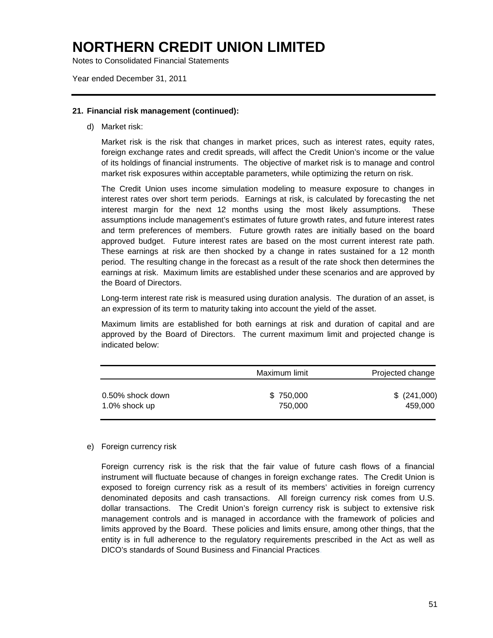Notes to Consolidated Financial Statements

Year ended December 31, 2011

#### **21. Financial risk management (continued):**

d) Market risk:

Market risk is the risk that changes in market prices, such as interest rates, equity rates, foreign exchange rates and credit spreads, will affect the Credit Union's income or the value of its holdings of financial instruments. The objective of market risk is to manage and control market risk exposures within acceptable parameters, while optimizing the return on risk.

The Credit Union uses income simulation modeling to measure exposure to changes in interest rates over short term periods. Earnings at risk, is calculated by forecasting the net interest margin for the next 12 months using the most likely assumptions. These assumptions include management's estimates of future growth rates, and future interest rates and term preferences of members. Future growth rates are initially based on the board approved budget. Future interest rates are based on the most current interest rate path. These earnings at risk are then shocked by a change in rates sustained for a 12 month period. The resulting change in the forecast as a result of the rate shock then determines the earnings at risk. Maximum limits are established under these scenarios and are approved by the Board of Directors.

Long-term interest rate risk is measured using duration analysis. The duration of an asset, is an expression of its term to maturity taking into account the yield of the asset.

Maximum limits are established for both earnings at risk and duration of capital and are approved by the Board of Directors. The current maximum limit and projected change is indicated below:

|                  | Maximum limit | Projected change |
|------------------|---------------|------------------|
| 0.50% shock down | \$750,000     | $$^{(241,000)}$  |
| 1.0% shock up    | 750.000       | 459.000          |

#### e) Foreign currency risk

Foreign currency risk is the risk that the fair value of future cash flows of a financial instrument will fluctuate because of changes in foreign exchange rates. The Credit Union is exposed to foreign currency risk as a result of its members' activities in foreign currency denominated deposits and cash transactions. All foreign currency risk comes from U.S. dollar transactions. The Credit Union's foreign currency risk is subject to extensive risk management controls and is managed in accordance with the framework of policies and limits approved by the Board. These policies and limits ensure, among other things, that the entity is in full adherence to the regulatory requirements prescribed in the Act as well as DICO's standards of Sound Business and Financial Practices.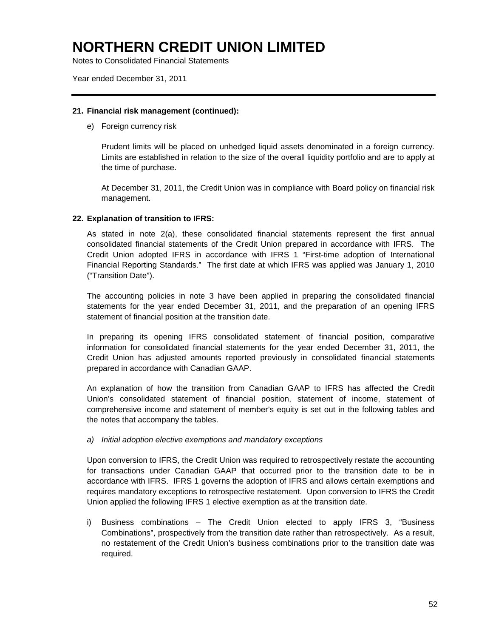Notes to Consolidated Financial Statements

Year ended December 31, 2011

#### **21. Financial risk management (continued):**

e) Foreign currency risk

Prudent limits will be placed on unhedged liquid assets denominated in a foreign currency. Limits are established in relation to the size of the overall liquidity portfolio and are to apply at the time of purchase.

At December 31, 2011, the Credit Union was in compliance with Board policy on financial risk management.

#### **22. Explanation of transition to IFRS:**

As stated in note 2(a), these consolidated financial statements represent the first annual consolidated financial statements of the Credit Union prepared in accordance with IFRS. The Credit Union adopted IFRS in accordance with IFRS 1 "First-time adoption of International Financial Reporting Standards." The first date at which IFRS was applied was January 1, 2010 ("Transition Date").

The accounting policies in note 3 have been applied in preparing the consolidated financial statements for the year ended December 31, 2011, and the preparation of an opening IFRS statement of financial position at the transition date.

In preparing its opening IFRS consolidated statement of financial position, comparative information for consolidated financial statements for the year ended December 31, 2011, the Credit Union has adjusted amounts reported previously in consolidated financial statements prepared in accordance with Canadian GAAP.

An explanation of how the transition from Canadian GAAP to IFRS has affected the Credit Union's consolidated statement of financial position, statement of income, statement of comprehensive income and statement of member's equity is set out in the following tables and the notes that accompany the tables.

#### *a) Initial adoption elective exemptions and mandatory exceptions*

Upon conversion to IFRS, the Credit Union was required to retrospectively restate the accounting for transactions under Canadian GAAP that occurred prior to the transition date to be in accordance with IFRS. IFRS 1 governs the adoption of IFRS and allows certain exemptions and requires mandatory exceptions to retrospective restatement. Upon conversion to IFRS the Credit Union applied the following IFRS 1 elective exemption as at the transition date.

i) Business combinations – The Credit Union elected to apply IFRS 3, "Business Combinations", prospectively from the transition date rather than retrospectively. As a result, no restatement of the Credit Union's business combinations prior to the transition date was required.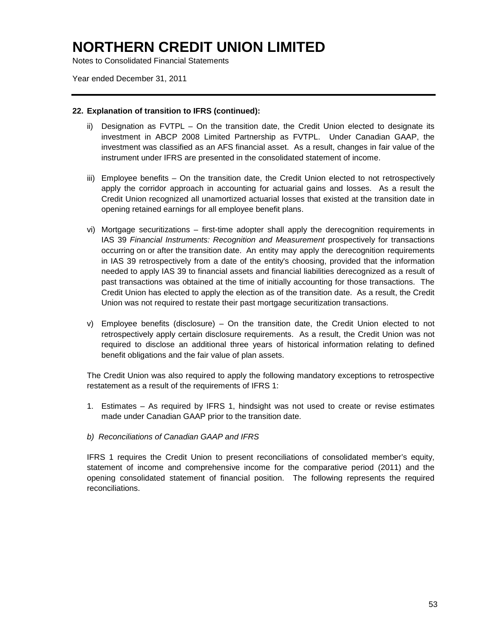Notes to Consolidated Financial Statements

Year ended December 31, 2011

#### **22. Explanation of transition to IFRS (continued):**

- ii) Designation as FVTPL On the transition date, the Credit Union elected to designate its investment in ABCP 2008 Limited Partnership as FVTPL. Under Canadian GAAP, the investment was classified as an AFS financial asset. As a result, changes in fair value of the instrument under IFRS are presented in the consolidated statement of income.
- iii) Employee benefits On the transition date, the Credit Union elected to not retrospectively apply the corridor approach in accounting for actuarial gains and losses. As a result the Credit Union recognized all unamortized actuarial losses that existed at the transition date in opening retained earnings for all employee benefit plans.
- vi) Mortgage securitizations first-time adopter shall apply the derecognition requirements in IAS 39 *Financial Instruments: Recognition and Measurement* prospectively for transactions occurring on or after the transition date. An entity may apply the derecognition requirements in IAS 39 retrospectively from a date of the entity's choosing, provided that the information needed to apply IAS 39 to financial assets and financial liabilities derecognized as a result of past transactions was obtained at the time of initially accounting for those transactions. The Credit Union has elected to apply the election as of the transition date. As a result, the Credit Union was not required to restate their past mortgage securitization transactions.
- v) Employee benefits (disclosure) On the transition date, the Credit Union elected to not retrospectively apply certain disclosure requirements. As a result, the Credit Union was not required to disclose an additional three years of historical information relating to defined benefit obligations and the fair value of plan assets.

The Credit Union was also required to apply the following mandatory exceptions to retrospective restatement as a result of the requirements of IFRS 1:

1. Estimates – As required by IFRS 1, hindsight was not used to create or revise estimates made under Canadian GAAP prior to the transition date.

#### *b) Reconciliations of Canadian GAAP and IFRS*

IFRS 1 requires the Credit Union to present reconciliations of consolidated member's equity, statement of income and comprehensive income for the comparative period (2011) and the opening consolidated statement of financial position. The following represents the required reconciliations.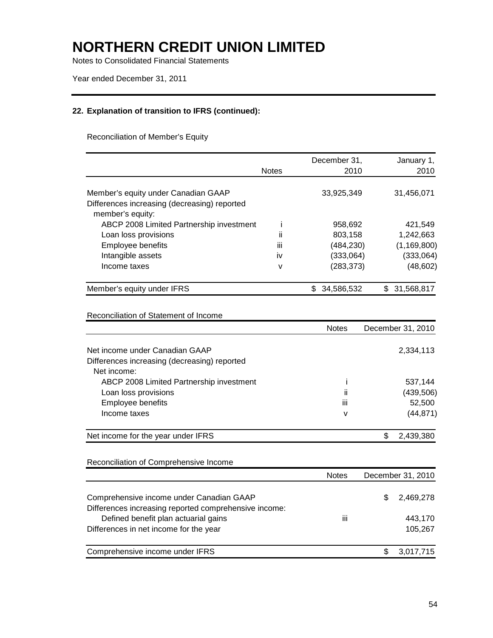Notes to Consolidated Financial Statements

Year ended December 31, 2011

### **22. Explanation of transition to IFRS (continued):**

Reconciliation of Member's Equity

|                                                                                                         |              | December 31,    | January 1,      |
|---------------------------------------------------------------------------------------------------------|--------------|-----------------|-----------------|
|                                                                                                         | <b>Notes</b> | 2010            | 2010            |
| Member's equity under Canadian GAAP<br>Differences increasing (decreasing) reported<br>member's equity: |              | 33.925.349      | 31,456,071      |
| ABCP 2008 Limited Partnership investment                                                                |              | 958.692         | 421.549         |
| Loan loss provisions                                                                                    | ii           | 803,158         | 1,242,663       |
| Employee benefits                                                                                       | Ш            | (484,230)       | (1, 169, 800)   |
| Intangible assets                                                                                       | <b>iv</b>    | (333,064)       | (333,064)       |
| Income taxes                                                                                            | v            | (283,373)       | (48, 602)       |
| Member's equity under IFRS                                                                              |              | S<br>34,586,532 | 31,568,817<br>S |

Reconciliation of Statement of Income

|                                                             | <b>Notes</b> |   | December 31, 2010 |
|-------------------------------------------------------------|--------------|---|-------------------|
| Net income under Canadian GAAP                              |              |   | 2,334,113         |
| Differences increasing (decreasing) reported<br>Net income: |              |   |                   |
| ABCP 2008 Limited Partnership investment                    |              |   | 537,144           |
| Loan loss provisions                                        | Ïİ           |   | (439, 506)        |
| <b>Employee benefits</b>                                    | ĨН           |   | 52,500            |
| Income taxes                                                | v            |   | (44, 871)         |
| Net income for the year under IFRS                          |              | S | 2,439,380         |
|                                                             |              |   |                   |

Reconciliation of Comprehensive Income

|                                                                                               | <b>Notes</b> |    | December 31, 2010 |
|-----------------------------------------------------------------------------------------------|--------------|----|-------------------|
| Comprehensive income under Canadian GAAP                                                      |              | S. | 2,469,278         |
| Differences increasing reported comprehensive income:<br>Defined benefit plan actuarial gains | iii          |    | 443,170           |
| Differences in net income for the year                                                        |              |    | 105.267           |
| Comprehensive income under IFRS                                                               |              |    | 3,017,715         |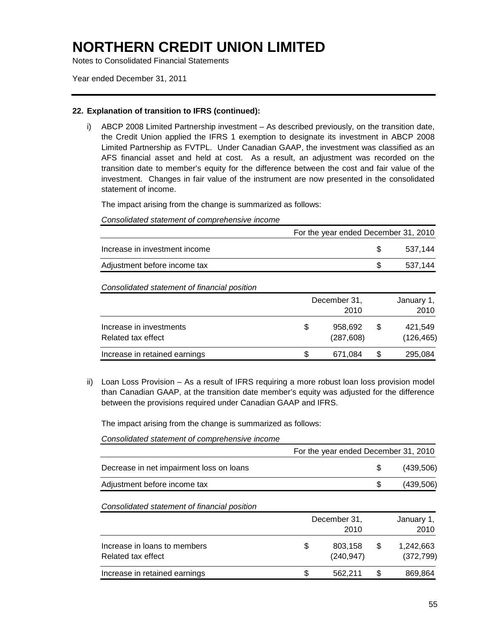Notes to Consolidated Financial Statements

Year ended December 31, 2011

#### **22. Explanation of transition to IFRS (continued):**

i) ABCP 2008 Limited Partnership investment – As described previously, on the transition date, the Credit Union applied the IFRS 1 exemption to designate its investment in ABCP 2008 Limited Partnership as FVTPL. Under Canadian GAAP, the investment was classified as an AFS financial asset and held at cost. As a result, an adjustment was recorded on the transition date to member's equity for the difference between the cost and fair value of the investment. Changes in fair value of the instrument are now presented in the consolidated statement of income.

The impact arising from the change is summarized as follows:

*Consolidated statement of comprehensive income*

|                               | For the year ended December 31, 2010 |         |
|-------------------------------|--------------------------------------|---------|
| Increase in investment income |                                      | 537.144 |
| Adjustment before income tax  |                                      | 537.144 |

*Consolidated statement of financial position*

|                                               |    | December 31,<br>2010  |   |                       |
|-----------------------------------------------|----|-----------------------|---|-----------------------|
| Increase in investments<br>Related tax effect | \$ | 958.692<br>(287, 608) | S | 421.549<br>(126, 465) |
| Increase in retained earnings                 | S  | 671.084               | S | 295,084               |

ii) Loan Loss Provision – As a result of IFRS requiring a more robust loan loss provision model than Canadian GAAP, at the transition date member's equity was adjusted for the difference between the provisions required under Canadian GAAP and IFRS.

The impact arising from the change is summarized as follows:

*Consolidated statement of comprehensive income*

|                                          | For the year ended December 31, 2010 |            |
|------------------------------------------|--------------------------------------|------------|
| Decrease in net impairment loss on loans |                                      | (439,506)  |
| Adjustment before income tax             |                                      | (439, 506) |

*Consolidated statement of financial position*

| Increase in loans to members<br>Related tax effect |    | December 31,<br>2010  |     |                         |
|----------------------------------------------------|----|-----------------------|-----|-------------------------|
|                                                    | S  | 803,158<br>(240, 947) | \$. | 1.242.663<br>(372, 799) |
| Increase in retained earnings                      | \$ | 562.211               | S   | 869,864                 |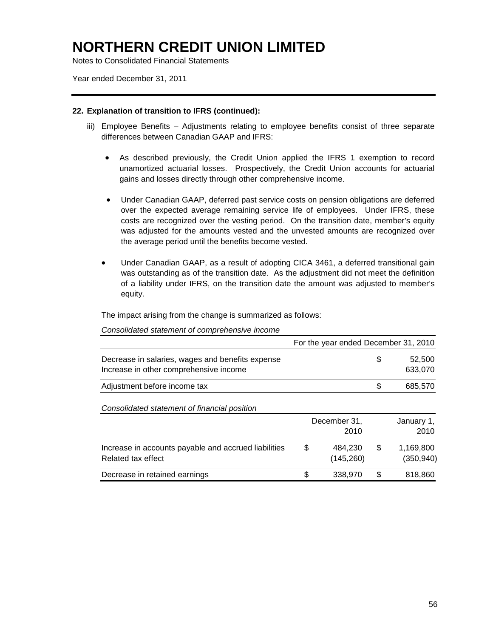Notes to Consolidated Financial Statements

Year ended December 31, 2011

#### **22. Explanation of transition to IFRS (continued):**

- iii) Employee Benefits Adjustments relating to employee benefits consist of three separate differences between Canadian GAAP and IFRS:
	- As described previously, the Credit Union applied the IFRS 1 exemption to record unamortized actuarial losses. Prospectively, the Credit Union accounts for actuarial gains and losses directly through other comprehensive income.
	- Under Canadian GAAP, deferred past service costs on pension obligations are deferred over the expected average remaining service life of employees. Under IFRS, these costs are recognized over the vesting period. On the transition date, member's equity was adjusted for the amounts vested and the unvested amounts are recognized over the average period until the benefits become vested.
	- Under Canadian GAAP, as a result of adopting CICA 3461, a deferred transitional gain was outstanding as of the transition date. As the adjustment did not meet the definition of a liability under IFRS, on the transition date the amount was adjusted to member's equity.

The impact arising from the change is summarized as follows:

|                                                                                            | For the year ended December 31, 2010 |                              |
|--------------------------------------------------------------------------------------------|--------------------------------------|------------------------------|
| Decrease in salaries, wages and benefits expense<br>Increase in other comprehensive income |                                      | \$<br>52,500<br>633,070      |
| Adjustment before income tax                                                               |                                      | \$<br>685,570                |
| Consolidated statement of financial position                                               |                                      |                              |
|                                                                                            | December 31,<br>2010                 | January 1,<br>2010           |
| Increase in accounts payable and accrued liabilities<br>Related tax effect                 | \$<br>484,230<br>(145,260)           | \$<br>1,169,800<br>(350,940) |
| Decrease in retained earnings                                                              | \$<br>338,970                        | \$<br>818,860                |

*Consolidated statement of comprehensive income*